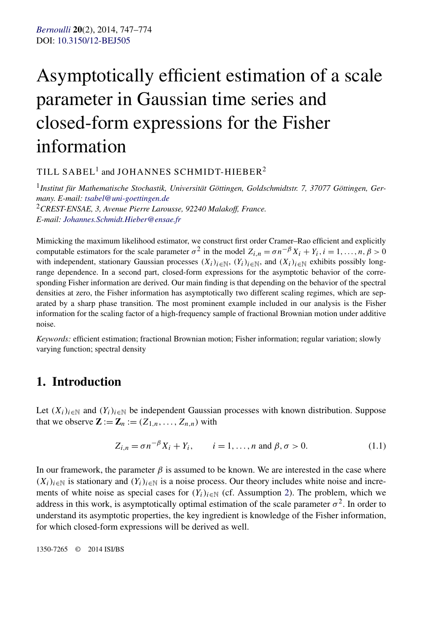# <span id="page-0-0"></span>Asymptotically efficient estimation of a scale parameter in Gaussian time series and closed-form expressions for the Fisher information

TILL SABEL<sup>1</sup> and JOHANNES SCHMIDT-HIEBER<sup>2</sup>

<sup>1</sup>*Institut für Mathematische Stochastik, Universität Göttingen, Goldschmidtstr. 7, 37077 Göttingen, Germany. E-mail: [tsabel@uni-goettingen.de](mailto:tsabel@uni-goettingen.de)*

<sup>2</sup>*CREST-ENSAE, 3, Avenue Pierre Larousse, 92240 Malakoff, France. E-mail: [Johannes.Schmidt.Hieber@ensae.fr](mailto:Johannes.Schmidt.Hieber@ensae.fr)*

Mimicking the maximum likelihood estimator, we construct first order Cramer–Rao efficient and explicitly computable estimators for the scale parameter  $\sigma^2$  in the model  $Z_{i,n} = \sigma n^{-\beta} X_i + Y_i, i = 1, \ldots, n, \beta > 0$ with independent, stationary Gaussian processes  $(X_i)_{i\in\mathbb{N}}$ ,  $(Y_i)_{i\in\mathbb{N}}$ , and  $(X_i)_{i\in\mathbb{N}}$  exhibits possibly longrange dependence. In a second part, closed-form expressions for the asymptotic behavior of the corresponding Fisher information are derived. Our main finding is that depending on the behavior of the spectral densities at zero, the Fisher information has asymptotically two different scaling regimes, which are separated by a sharp phase transition. The most prominent example included in our analysis is the Fisher information for the scaling factor of a high-frequency sample of fractional Brownian motion under additive noise.

*Keywords:* efficient estimation; fractional Brownian motion; Fisher information; regular variation; slowly varying function; spectral density

# **1. Introduction**

Let  $(X_i)_{i\in\mathbb{N}}$  and  $(Y_i)_{i\in\mathbb{N}}$  be independent Gaussian processes with known distribution. Suppose that we observe  $\mathbf{Z} := \mathbf{Z}_n := (Z_{1,n}, \ldots, Z_{n,n})$  with

$$
Z_{i,n} = \sigma n^{-\beta} X_i + Y_i, \qquad i = 1, ..., n \text{ and } \beta, \sigma > 0.
$$
 (1.1)

In our framework, the parameter  $\beta$  is assumed to be known. We are interested in the case where  $(X_i)_{i\in\mathbb{N}}$  is stationary and  $(Y_i)_{i\in\mathbb{N}}$  is a noise process. Our theory includes white noise and increments of white noise as special cases for  $(Y_i)_{i\in\mathbb{N}}$  (cf. Assumption [2\)](#page-6-0). The problem, which we address in this work, is asymptotically optimal estimation of the scale parameter  $\sigma^2$ . In order to understand its asymptotic properties, the key ingredient is knowledge of the Fisher information, for which closed-form expressions will be derived as well.

1350-7265 © 2014 ISI/BS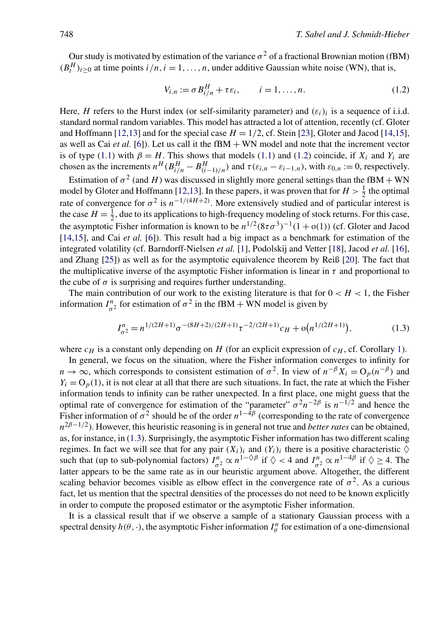<span id="page-1-0"></span>Our study is motivated by estimation of the variance  $\sigma^2$  of a fractional Brownian motion (fBM)  $(B_t^H)_{t\geq0}$  at time points  $i/n, i = 1, \ldots, n$ , under additive Gaussian white noise (WN), that is,

$$
V_{i,n} := \sigma B_{i/n}^H + \tau \varepsilon_i, \qquad i = 1, \dots, n. \tag{1.2}
$$

Here, *H* refers to the Hurst index (or self-similarity parameter) and  $(\varepsilon_i)_i$  is a sequence of i.i.d. standard normal random variables. This model has attracted a lot of attention, recently (cf. Gloter and Hoffmann [\[12,13\]](#page-26-0) and for the special case  $H = 1/2$ , cf. Stein [\[23\]](#page-26-0), Gloter and Jacod [\[14,15\]](#page-26-0), as well as Cai *et al.* [\[6\]](#page-26-0)). Let us call it the fBM + WN model and note that the increment vector is of type [\(1.1\)](#page-0-0) with  $\beta = H$ . This shows that models (1.1) and (1.2) coincide, if  $X_i$  and  $Y_i$  are chosen as the increments  $n^H (B_{i/n}^H - B_{(i-1)/n}^H)$  and  $\tau(\varepsilon_{i,n} - \varepsilon_{i-1,n})$ , with  $\varepsilon_{0,n} := 0$ , respectively.

Estimation of  $\sigma^2$  (and *H*) was discussed in slightly more general settings than the fBM + WN model by Gloter and Hoffmann [\[12,13\]](#page-26-0). In these papers, it was proven that for  $H > \frac{1}{2}$  the optimal rate of convergence for  $\sigma^2$  is  $n^{-1/(4H+2)}$ . More extensively studied and of particular interest is the case  $H = \frac{1}{2}$ , due to its applications to high-frequency modeling of stock returns. For this case, the asymptotic Fisher information is known to be  $n^{1/2}(8\tau\sigma^3)^{-1}(1+\sigma(1))$  (cf. Gloter and Jacod [\[14,15\]](#page-26-0), and Cai *et al.* [\[6\]](#page-26-0)). This result had a big impact as a benchmark for estimation of the integrated volatility (cf. Barndorff-Nielsen *et al.* [\[1\]](#page-25-0), Podolskij and Vetter [\[18\]](#page-26-0), Jacod *et al.* [\[16\]](#page-26-0), and Zhang [\[25\]](#page-27-0)) as well as for the asymptotic equivalence theorem by Reiß [\[20\]](#page-26-0). The fact that the multiplicative inverse of the asymptotic Fisher information is linear in  $\tau$  and proportional to the cube of  $\sigma$  is surprising and requires further understanding.

The main contribution of our work to the existing literature is that for  $0 < H < 1$ , the Fisher information  $I_{\sigma^2}^n$  for estimation of  $\sigma^2$  in the fBM + WN model is given by

$$
I_{\sigma^2}^n = n^{1/(2H+1)} \sigma^{-(8H+2)/(2H+1)} \tau^{-2/(2H+1)} c_H + o(n^{1/(2H+1)}),
$$
\n(1.3)

where  $c_H$  is a constant only depending on *H* (for an explicit expression of  $c_H$ , cf. Corollary [1\)](#page-7-0).

In general, we focus on the situation, where the Fisher information converges to infinity for  $n \to \infty$ , which corresponds to consistent estimation of  $\sigma^2$ . In view of  $n^{-\beta}X_i = O_p(n^{-\beta})$  and  $Y_i = O_p(1)$ , it is not clear at all that there are such situations. In fact, the rate at which the Fisher information tends to infinity can be rather unexpected. In a first place, one might guess that the optimal rate of convergence for estimation of the "parameter"  $\sigma^2 n^{-2\beta}$  is  $n^{-1/2}$  and hence the Fisher information of  $\sigma^2$  should be of the order  $n^{1-\bar{4}\beta}$  (corresponding to the rate of convergence  $n^{2\beta-1/2}$ ). However, this heuristic reasoning is in general not true and *better rates* can be obtained, as, for instance, in (1.3). Surprisingly, the asymptotic Fisher information has two different scaling regimes. In fact we will see that for any pair  $(X_i)_i$  and  $(Y_i)_i$  there is a positive characteristic  $\Diamond$ such that (up to sub-polynomial factors)  $I_{\sigma^2}^n \propto n^{1-\diamond/\beta}$  if  $\diamondsuit < 4$  and  $I_{\sigma^2}^n \propto n^{1-4\beta}$  if  $\diamondsuit \geq 4$ . The latter appears to be the same rate as in our heuristic argument above. Altogether, the different scaling behavior becomes visible as elbow effect in the convergence rate of  $\sigma^2$ . As a curious fact, let us mention that the spectral densities of the processes do not need to be known explicitly in order to compute the proposed estimator or the asymptotic Fisher information.

It is a classical result that if we observe a sample of a stationary Gaussian process with a spectral density  $h(\theta, \cdot)$ , the asymptotic Fisher information  $I_{\theta}^{n}$  for estimation of a one-dimensional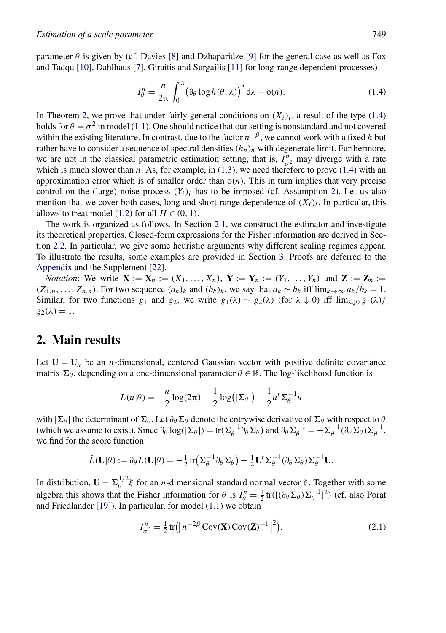<span id="page-2-0"></span>parameter  $\theta$  is given by (cf. Davies [\[8\]](#page-26-0) and Dzhaparidze [\[9\]](#page-26-0) for the general case as well as Fox and Taqqu [\[10\]](#page-26-0), Dahlhaus [\[7\]](#page-26-0), Giraitis and Surgailis [\[11\]](#page-26-0) for long-range dependent processes)

$$
I_{\theta}^{n} = \frac{n}{2\pi} \int_{0}^{\pi} (\partial_{\theta} \log h(\theta, \lambda))^{2} d\lambda + o(n).
$$
 (1.4)

In Theorem [2,](#page-6-0) we prove that under fairly general conditions on  $(X_i)_i$ , a result of the type (1.4) holds for  $\theta = \sigma^2$  in model [\(1.1\)](#page-0-0). One should notice that our setting is nonstandard and not covered within the existing literature. In contrast, due to the factor *n*−*<sup>β</sup>* , we cannot work with a fixed *h* but rather have to consider a sequence of spectral densities  $(h_n)_n$  with degenerate limit. Furthermore, we are not in the classical parametric estimation setting, that is,  $I_{\sigma^2}^n$  may diverge with a rate which is much slower than  $n$ . As, for example, in  $(1.3)$ , we need therefore to prove  $(1.4)$  with an approximation error which is of smaller order than o*(n)*. This in turn implies that very precise control on the (large) noise process  $(Y_i)_i$  has to be imposed (cf. Assumption [2\)](#page-6-0). Let us also mention that we cover both cases, long and short-range dependence of  $(X_i)_i$ . In particular, this allows to treat model [\(1.2\)](#page-1-0) for all  $H \in (0, 1)$ .

The work is organized as follows. In Section [2.1,](#page-3-0) we construct the estimator and investigate its theoretical properties. Closed-form expressions for the Fisher information are derived in Section [2.2.](#page-4-0) In particular, we give some heuristic arguments why different scaling regimes appear. To illustrate the results, some examples are provided in Section [3.](#page-9-0) Proofs are deferred to the [Appendix](#page-10-0) and the Supplement [\[22\]](#page-26-0).

*Notation*: We write  $X := X_n := (X_1, ..., X_n), Y := Y_n := (Y_1, ..., Y_n)$  and  $Z := Z_n$  := *(Z*<sub>1,*n*</sub>,...,*Z*<sub>*n*,*n*</sub>). For two sequence  $(a_k)_k$  and  $(b_k)_k$ , we say that  $a_k \sim b_k$  iff lim $_{k\to\infty} a_k/b_k = 1$ . Similar, for two functions *g*<sub>1</sub> and *g*<sub>2</sub>, we write *g*<sub>1</sub>(λ) ∼ *g*<sub>2</sub>(λ) (for  $λ \downarrow 0$ ) iff lim<sub>λ</sub><sub>↓0</sub> *g*<sub>1</sub>(λ)/  $g_2(\lambda) = 1$ .

## **2. Main results**

Let  $U = U_n$  be an *n*-dimensional, centered Gaussian vector with positive definite covariance matrix  $\Sigma_{\theta}$ , depending on a one-dimensional parameter  $\theta \in \mathbb{R}$ . The log-likelihood function is

$$
L(u|\theta) = -\frac{n}{2}\log(2\pi) - \frac{1}{2}\log(|\Sigma_{\theta}|) - \frac{1}{2}u^{t}\Sigma_{\theta}^{-1}u
$$

with  $|\Sigma_\theta|$  the determinant of  $\Sigma_\theta$ . Let  $\partial_\theta \Sigma_\theta$  denote the entrywise derivative of  $\Sigma_\theta$  with respect to  $\theta$ (which we assume to exist). Since  $\partial_{\theta} \log(|\Sigma_{\theta}|) = \text{tr}(\Sigma_{\theta}^{-1} \partial_{\theta} \Sigma_{\theta})$  and  $\partial_{\theta} \Sigma_{\theta}^{-1} = -\Sigma_{\theta}^{-1}(\partial_{\theta} \Sigma_{\theta}) \Sigma_{\theta}^{-1}$ , we find for the score function

$$
\dot{L}(\mathbf{U}|\theta) := \partial_{\theta} L(\mathbf{U}|\theta) = -\frac{1}{2} \text{tr} \big( \Sigma_{\theta}^{-1} \partial_{\theta} \Sigma_{\theta} \big) + \frac{1}{2} \mathbf{U}^{t} \Sigma_{\theta}^{-1} (\partial_{\theta} \Sigma_{\theta}) \Sigma_{\theta}^{-1} \mathbf{U}.
$$

In distribution,  $\mathbf{U} = \sum_{\theta}^{1/2} \xi$  for an *n*-dimensional standard normal vector  $\xi$ . Together with some algebra this shows that the Fisher information for  $\theta$  is  $I_{\theta}^{n} = \frac{1}{2} \text{tr}([\theta_{\theta} \Sigma_{\theta}) \Sigma_{\theta}^{-1}]^{2}$  (cf. also Porat and Friedlander  $[19]$ ). In particular, for model  $(1.1)$  we obtain

$$
I_{\sigma^2}^n = \frac{1}{2} \text{tr} \left( \left[ n^{-2\beta} \text{Cov}(\mathbf{X}) \text{Cov}(\mathbf{Z})^{-1} \right]^2 \right). \tag{2.1}
$$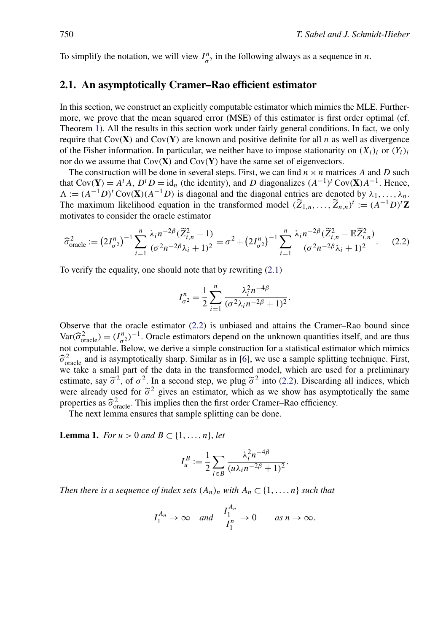<span id="page-3-0"></span>To simplify the notation, we will view  $I_{\sigma^2}^n$  in the following always as a sequence in *n*.

#### **2.1. An asymptotically Cramer–Rao efficient estimator**

In this section, we construct an explicitly computable estimator which mimics the MLE. Furthermore, we prove that the mean squared error (MSE) of this estimator is first order optimal (cf. Theorem [1\)](#page-4-0). All the results in this section work under fairly general conditions. In fact, we only require that  $Cov(\mathbf{X})$  and  $Cov(\mathbf{Y})$  are known and positive definite for all *n* as well as divergence of the Fisher information. In particular, we neither have to impose stationarity on  $(X_i)_i$  or  $(Y_i)_i$ nor do we assume that Cov*(***X***)* and Cov*(***Y***)* have the same set of eigenvectors.

The construction will be done in several steps. First, we can find  $n \times n$  matrices A and D such that  $Cov(Y) = A^t A$ ,  $D^t D = id_n$  (the identity), and *D* diagonalizes  $(A^{-1})^t Cov(\mathbf{X})A^{-1}$ . Hence,  $\Lambda := (A^{-1}D)^t \text{Cov}(\mathbf{X})(A^{-1}D)$  is diagonal and the diagonal entries are denoted by  $\lambda_1, \ldots, \lambda_n$ . The maximum likelihood equation in the transformed model  $(\widetilde{Z}_{1,n}, \ldots, \widetilde{Z}_{n,n})^t := (A^{-1}D)^t \mathbf{Z}$ motivates to consider the oracle estimator

$$
\widehat{\sigma}_{\text{oracle}}^2 := \left(2I_{\sigma^2}^n\right)^{-1} \sum_{i=1}^n \frac{\lambda_i n^{-2\beta} (\widetilde{Z}_{i,n}^2 - 1)}{(\sigma^2 n^{-2\beta} \lambda_i + 1)^2} = \sigma^2 + \left(2I_{\sigma^2}^n\right)^{-1} \sum_{i=1}^n \frac{\lambda_i n^{-2\beta} (\widetilde{Z}_{i,n}^2 - \mathbb{E} \widetilde{Z}_{i,n}^2)}{(\sigma^2 n^{-2\beta} \lambda_i + 1)^2}.
$$
 (2.2)

To verify the equality, one should note that by rewriting [\(2.1\)](#page-2-0)

$$
I_{\sigma^2}^n = \frac{1}{2} \sum_{i=1}^n \frac{\lambda_i^2 n^{-4\beta}}{(\sigma^2 \lambda_i n^{-2\beta} + 1)^2}.
$$

Observe that the oracle estimator (2.2) is unbiased and attains the Cramer–Rao bound since  $Var(\hat{\sigma}_{\text{oracle}}^2) = (I_{\sigma_2}^n)^{-1}$ . Oracle estimators depend on the unknown quantities itself, and are thus not computable Below we derive a simple construction for a statistical estimator which mimics not computable. Below, we derive a simple construction for a statistical estimator which mimics  $\hat{\sigma}_{\text{oracle}}^2$  and is asymptotically sharp. Similar as in [\[6\]](#page-26-0), we use a sample splitting technique. First, we take a small part of the data in the transformed model, which are used for a preliminary we take a small part of the data in the transformed model, which are used for a preliminary estimate, say  $\tilde{\sigma}^2$ , of  $\sigma^2$ . In a second step, we plug  $\tilde{\sigma}^2$  into (2.2). Discarding all indices, which were already used for  $\tilde{\sigma}^2$  gives an estimator, which as we show has asymptotically the same properties as  $\hat{\sigma}_{\text{oracle}}^2$ . This implies then the first order Cramer–Rao efficiency.<br>The next lemma ensures that sample splitting can be done.

The next lemma ensures that sample splitting can be done.

**Lemma 1.** *For u* > 0 *and B* ⊂ {1, ..., *n*}, *let* 

$$
I_u^B := \frac{1}{2} \sum_{i \in B} \frac{\lambda_i^2 n^{-4\beta}}{(u\lambda_i n^{-2\beta} + 1)^2}.
$$

*Then there is a sequence of index sets*  $(A_n)_n$  *with*  $A_n \subset \{1, \ldots, n\}$  *such that* 

$$
I_1^{A_n} \to \infty
$$
 and  $\frac{I_1^{A_n}}{I_1^n} \to 0$  as  $n \to \infty$ .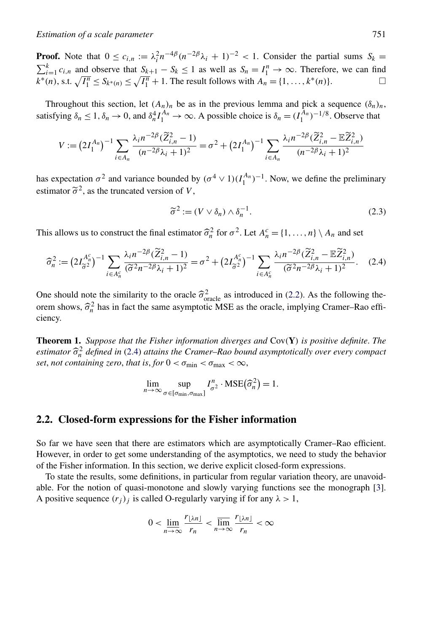<span id="page-4-0"></span>**Proof.** Note that  $0 \le c_{i,n} := \lambda_i^2 n^{-4\beta} (n^{-2\beta} \lambda_i + 1)^{-2} < 1$ . Consider the partial sums  $S_k =$  $\sum_{i=1}^{k} c_{i,n}$  and observe that  $S_{k+1} - S_k \le 1$  as well as  $S_n = I_1^n \to \infty$ . Therefore, we can find *k*<sup>∗</sup>(*n*), s.t.  $\sqrt{I_1^n}$  ≤ *S<sub>k</sub>*∗(*n*) ≤  $\sqrt{I_1^n}$  + 1. The result follows with *A<sub>n</sub>* = {1, ..., *k*<sup>\*</sup>(*n*)}.

Throughout this section, let  $(A_n)_n$  be as in the previous lemma and pick a sequence  $(\delta_n)_n$ , satisfying  $\delta_n \leq 1$ ,  $\delta_n \to 0$ , and  $\delta_n^4 I_1^{A_n} \to \infty$ . A possible choice is  $\delta_n = (I_1^{A_n})^{-1/8}$ . Observe that

$$
V := (2I_1^{A_n})^{-1} \sum_{i \in A_n} \frac{\lambda_i n^{-2\beta} (\widetilde{Z}_{i,n}^2 - 1)}{(n^{-2\beta}\lambda_i + 1)^2} = \sigma^2 + (2I_1^{A_n})^{-1} \sum_{i \in A_n} \frac{\lambda_i n^{-2\beta} (\widetilde{Z}_{i,n}^2 - \mathbb{E} \widetilde{Z}_{i,n}^2)}{(n^{-2\beta}\lambda_i + 1)^2}
$$

has expectation  $\sigma^2$  and variance bounded by  $(\sigma^4 \vee 1)(I_1^{A_n})^{-1}$ . Now, we define the preliminary estimator  $\tilde{\sigma}^2$ , as the truncated version of *V*,

$$
\widetilde{\sigma}^2 := (V \vee \delta_n) \wedge \delta_n^{-1}.
$$
\n(2.3)

This allows us to construct the final estimator  $\hat{\sigma}_n^2$  for  $\sigma^2$ . Let  $A_n^c = \{1, ..., n\} \setminus A_n$  and set

$$
\widehat{\sigma}_n^2 := \left(2I_{\widetilde{\sigma}^2}^{A_n^c}\right)^{-1} \sum_{i \in A_n^c} \frac{\lambda_i n^{-2\beta} (\widetilde{Z}_{i,n}^2 - 1)}{(\widetilde{\sigma}^2 n^{-2\beta} \lambda_i + 1)^2} = \sigma^2 + \left(2I_{\widetilde{\sigma}^2}^{A_n^c}\right)^{-1} \sum_{i \in A_n^c} \frac{\lambda_i n^{-2\beta} (\widetilde{Z}_{i,n}^2 - \mathbb{E} \widetilde{Z}_{i,n}^2)}{(\widetilde{\sigma}^2 n^{-2\beta} \lambda_i + 1)^2}.
$$
 (2.4)

One should note the similarity to the oracle  $\hat{\sigma}_{\text{oracle}}^2$  as introduced in [\(2.2\)](#page-3-0). As the following theorem shows  $\hat{\sigma}^2$  has in feat the same scumptatic MSE as the argels implying Gramar Bea effiorem shows,  $\hat{\sigma}_n^2$  has in fact the same asymptotic MSE as the oracle, implying Cramer–Rao effi-<br>ciancy ciency.

**Theorem 1.** *Suppose that the Fisher information diverges and* Cov*(***Y***) is positive definite*. *The estimator*  $\widehat{\sigma}_n^2$  *defined in* (2.4) *attains the Cramer–Rao bound asymptotically over every compact* set not containing zero, that is for  $0 < \sigma$ ;  $\leq \sigma$ *set*, *not containing zero, that is, for*  $0 < \sigma_{\min} < \sigma_{\max} < \infty$ ,

$$
\lim_{n \to \infty} \sup_{\sigma \in [\sigma_{\min}, \sigma_{\max}]} I_{\sigma^2}^n \cdot \text{MSE}(\widehat{\sigma}_n^2) = 1.
$$

#### **2.2. Closed-form expressions for the Fisher information**

So far we have seen that there are estimators which are asymptotically Cramer–Rao efficient. However, in order to get some understanding of the asymptotics, we need to study the behavior of the Fisher information. In this section, we derive explicit closed-form expressions.

To state the results, some definitions, in particular from regular variation theory, are unavoidable. For the notion of quasi-monotone and slowly varying functions see the monograph [\[3\]](#page-26-0). A positive sequence  $(r_j)_j$  is called O-regularly varying if for any  $\lambda > 1$ ,

$$
0 < \lim_{n \to \infty} \frac{r_{\lfloor \lambda n \rfloor}}{r_n} < \overline{\lim}_{n \to \infty} \frac{r_{\lfloor \lambda n \rfloor}}{r_n} < \infty
$$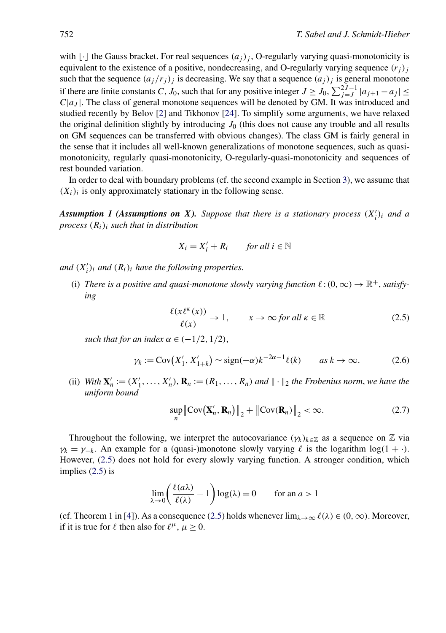<span id="page-5-0"></span>with  $\lfloor \cdot \rfloor$  the Gauss bracket. For real sequences  $(a_j)_j$ , O-regularly varying quasi-monotonicity is equivalent to the existence of a positive, nondecreasing, and O-regularly varying sequence  $(r_j)$ such that the sequence  $(a_j/r_j)$  is decreasing. We say that a sequence  $(a_j)_j$  is general monotone if there are finite constants *C*, *J*<sub>0</sub>, such that for any positive integer  $J \ge J_0$ ,  $\sum_{j=J}^{2J-1} |a_{j+1} - a_j| \le$  $C|a_I|$ . The class of general monotone sequences will be denoted by GM. It was introduced and studied recently by Belov [\[2\]](#page-26-0) and Tikhonov [\[24\]](#page-27-0). To simplify some arguments, we have relaxed the original definition slightly by introducing  $J_0$  (this does not cause any trouble and all results on GM sequences can be transferred with obvious changes). The class GM is fairly general in the sense that it includes all well-known generalizations of monotone sequences, such as quasimonotonicity, regularly quasi-monotonicity, O-regularly-quasi-monotonicity and sequences of rest bounded variation.

In order to deal with boundary problems (cf. the second example in Section [3\)](#page-9-0), we assume that  $(X_i)_i$  is only approximately stationary in the following sense.

*Assumption 1 (Assumptions on X). Suppose that there is a stationary process (X <sup>i</sup>)i and a process (Ri)i such that in distribution*

$$
X_i = X'_i + R_i \qquad \text{for all } i \in \mathbb{N}
$$

*and*  $(X'_i)_i$  *and*  $(R_i)_i$  *have the following properties.* 

(i) There is a positive and quasi-monotone slowly varying function  $\ell: (0, \infty) \to \mathbb{R}^+$ , satisfy*ing*

$$
\frac{\ell(x\ell^{\kappa}(x))}{\ell(x)} \to 1, \qquad x \to \infty \text{ for all } \kappa \in \mathbb{R} \tag{2.5}
$$

*such that for an index*  $\alpha \in (-1/2, 1/2)$ ,

$$
\gamma_k := \text{Cov}\big(X_1', X_{1+k}'\big) \sim \text{sign}(-\alpha)k^{-2\alpha - 1}\ell(k) \qquad \text{as } k \to \infty. \tag{2.6}
$$

(ii) *With*  $\mathbf{X}'_n := (X'_1, \ldots, X'_n), \mathbf{R}_n := (R_1, \ldots, R_n)$  and  $\|\cdot\|_2$  the Frobenius norm, we have the *uniform bound*

$$
\sup_{n} \left\| \text{Cov}(\mathbf{X}'_n, \mathbf{R}_n) \right\|_2 + \left\| \text{Cov}(\mathbf{R}_n) \right\|_2 < \infty. \tag{2.7}
$$

Throughout the following, we interpret the autocovariance  $(\gamma_k)_{k \in \mathbb{Z}}$  as a sequence on  $\mathbb Z$  via  $\gamma_k = \gamma_{-k}$ . An example for a (quasi-)monotone slowly varying  $\ell$  is the logarithm log(1 + ·). However, (2.5) does not hold for every slowly varying function. A stronger condition, which implies (2.5) is

$$
\lim_{\lambda \to 0} \left( \frac{\ell(a\lambda)}{\ell(\lambda)} - 1 \right) \log(\lambda) = 0 \quad \text{for an } a > 1
$$

(cf. Theorem 1 in [\[4\]](#page-26-0)). As a consequence (2.5) holds whenever  $\lim_{\lambda \to \infty} \ell(\lambda) \in (0, \infty)$ . Moreover, if it is true for  $\ell$  then also for  $\ell^{\mu}$ ,  $\mu \ge 0$ .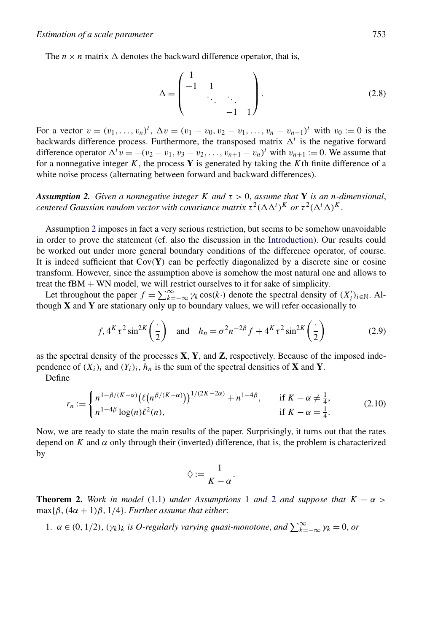<span id="page-6-0"></span>The  $n \times n$  matrix  $\Delta$  denotes the backward difference operator, that is,

$$
\Delta = \begin{pmatrix} 1 & 1 & & \\ -1 & 1 & & \\ & \ddots & \ddots & \\ & & -1 & 1 \end{pmatrix} . \tag{2.8}
$$

For a vector  $v = (v_1, \ldots, v_n)^t$ ,  $\Delta v = (v_1 - v_0, v_2 - v_1, \ldots, v_n - v_{n-1})^t$  with  $v_0 := 0$  is the backwards difference process. Furthermore, the transposed matrix  $\Delta^t$  is the negative forward difference operator  $\Delta^t v = -(v_2 - v_1, v_3 - v_2, \dots, v_{n+1} - v_n)^t$  with  $v_{n+1} := 0$ . We assume that for a nonnegative integer *K*, the process **Y** is generated by taking the *K*th finite difference of a white noise process (alternating between forward and backward differences).

*Assumption 2. Given a nonnegative integer K and* $\tau > 0$ **, assume that <b>Y** is an *n*-dimensional, *centered Gaussian random vector with covariance matrix*  $\tau^2 (\Delta \Delta^t)^K$  *or*  $\tau^2 (\Delta^t \Delta)^K$ .

Assumption 2 imposes in fact a very serious restriction, but seems to be somehow unavoidable in order to prove the statement (cf. also the discussion in the [Introduction\)](#page-0-0). Our results could be worked out under more general boundary conditions of the difference operator, of course. It is indeed sufficient that Cov*(***Y***)* can be perfectly diagonalized by a discrete sine or cosine transform. However, since the assumption above is somehow the most natural one and allows to treat the  $fBM + WN$  model, we will restrict ourselves to it for sake of simplicity.

Let throughout the paper  $f = \sum_{k=-\infty}^{\infty} \gamma_k \cos(k \cdot)$  denote the spectral density of  $(X_i')_{i \in \mathbb{N}}$ . Although **X** and **Y** are stationary only up to boundary values, we will refer occasionally to

$$
f, 4^K \tau^2 \sin^{2K} \left(\frac{\cdot}{2}\right) \quad \text{and} \quad h_n = \sigma^2 n^{-2\beta} f + 4^K \tau^2 \sin^{2K} \left(\frac{\cdot}{2}\right) \tag{2.9}
$$

as the spectral density of the processes **X**, **Y**, and **Z**, respectively. Because of the imposed independence of  $(X_i)_i$  and  $(Y_i)_i$ ,  $h_n$  is the sum of the spectral densities of **X** and **Y**.

Define

$$
r_n := \begin{cases} n^{1-\beta/(K-\alpha)} (\ell(n^{\beta/(K-\alpha)}))^{1/(2K-2\alpha)} + n^{1-4\beta}, & \text{if } K - \alpha \neq \frac{1}{4}, \\ n^{1-4\beta} \log(n) \ell^2(n), & \text{if } K - \alpha = \frac{1}{4}. \end{cases}
$$
(2.10)

Now, we are ready to state the main results of the paper. Surprisingly, it turns out that the rates depend on  $K$  and  $\alpha$  only through their (inverted) difference, that is, the problem is characterized by

$$
\Diamond := \frac{1}{K - \alpha}.
$$

**Theorem 2.** *Work in model* [\(1.1\)](#page-0-0) *under Assumptions* [1](#page-5-0) *and* 2 *and suppose that*  $K - \alpha$  $\max{\{\beta, (4\alpha + 1)\beta, 1/4\}}$ . *Further assume that either*:

1.  $\alpha \in (0, 1/2)$ ,  $(\gamma_k)_k$  *is O-regularly varying quasi-monotone, and*  $\sum_{k=-\infty}^{\infty} \gamma_k = 0$ , *or*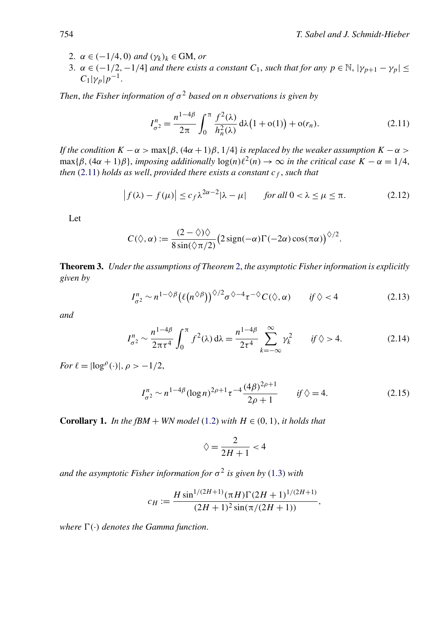*.*

- <span id="page-7-0"></span>2.  $\alpha \in (-1/4, 0)$  *and*  $(\gamma_k)_k \in GM$ , *or*
- 3.  $\alpha \in (-1/2, -1/4]$  *and there exists a constant*  $C_1$ *, such that for any*  $p \in \mathbb{N}$ ,  $|\gamma_{p+1} \gamma_p| \leq$  $C_1|\gamma_p|p^{-1}$ .

*Then, the Fisher information of*  $\sigma^2$  *based on n observations is given by* 

$$
I_{\sigma^2}^n = \frac{n^{1-4\beta}}{2\pi} \int_0^\pi \frac{f^2(\lambda)}{h_n^2(\lambda)} d\lambda (1 + o(1)) + o(r_n).
$$
 (2.11)

*If the condition*  $K - \alpha > \max{\beta, (4\alpha + 1)\beta, 1/4}$  *is replaced by the weaker assumption*  $K - \alpha >$  $\max{\{\beta, (\frac{4\alpha + 1)\beta\}}$ , *imposing additionally*  $\log(n)\ell^2(n) \to \infty$  *in the critical case*  $K - \alpha = 1/4$ , *then* (2.11) *holds as well, provided there exists a constant*  $c_f$ *, such that* 

$$
\left| f(\lambda) - f(\mu) \right| \le c_f \lambda^{2\alpha - 2} |\lambda - \mu| \qquad \text{for all } 0 < \lambda \le \mu \le \pi. \tag{2.12}
$$

Let

$$
C(\Diamond, \alpha) := \frac{(2-\Diamond)\Diamond}{8\sin(\Diamond \pi/2)} (2\,\text{sign}(-\alpha)\Gamma(-2\alpha)\cos(\pi\alpha))^{\Diamond/2}
$$

**Theorem 3.** *Under the assumptions of Theorem* [2,](#page-6-0) *the asymptotic Fisher information is explicitly given by*

$$
I_{\sigma^2}^n \sim n^{1-\Diamond \beta} \big(\ell(n^{\Diamond \beta})\big)^{\Diamond/2} \sigma^{\Diamond -4} \tau^{-\Diamond} C(\Diamond, \alpha) \qquad \text{if } \Diamond < 4 \tag{2.13}
$$

*and*

$$
I_{\sigma^2}^n \sim \frac{n^{1-4\beta}}{2\pi\tau^4} \int_0^{\pi} f^2(\lambda) d\lambda = \frac{n^{1-4\beta}}{2\tau^4} \sum_{k=-\infty}^{\infty} \gamma_k^2 \qquad \text{if } \hat{y} > 4. \tag{2.14}
$$

*For*  $\ell = |log^{\rho}(·)|, \rho > -1/2,$ 

$$
I_{\sigma^2}^n \sim n^{1-4\beta} (\log n)^{2\rho+1} \tau^{-4} \frac{(4\beta)^{2\rho+1}}{2\rho+1} \qquad \text{if } \Diamond = 4. \tag{2.15}
$$

**Corollary 1.** *In the fBM* + *WN model* [\(1.2\)](#page-1-0) *with*  $H \in (0, 1)$ *, it holds that* 

$$
\diamondsuit = \frac{2}{2H+1} < 4
$$

*and the asymptotic Fisher information for*  $\sigma^2$  *is given by* [\(1.3\)](#page-1-0) *with* 

$$
c_H := \frac{H \sin^{1/(2H+1)}(\pi H) \Gamma(2H+1)^{1/(2H+1)}}{(2H+1)^2 \sin(\pi/(2H+1))},
$$

*where*  $\Gamma(\cdot)$  *denotes the Gamma function.*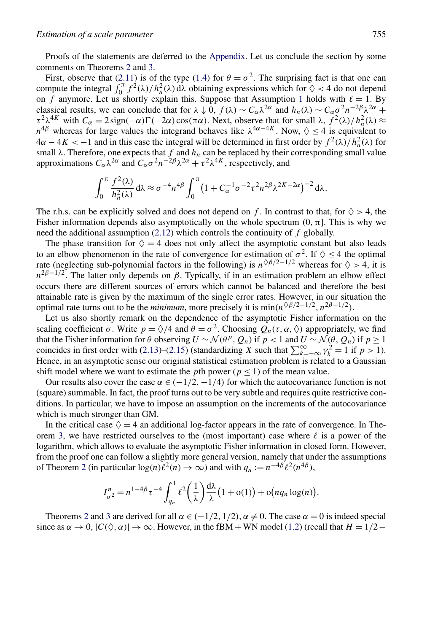Proofs of the statements are deferred to the [Appendix.](#page-10-0) Let us conclude the section by some comments on Theorems [2](#page-6-0) and [3.](#page-7-0)

First, observe that [\(2.11\)](#page-7-0) is of the type [\(1.4\)](#page-2-0) for  $\theta = \sigma^2$ . The surprising fact is that one can compute the integral  $\int_0^{\pi} f^2(\lambda)/h_n^2(\lambda) d\lambda$  obtaining expressions which for  $\Diamond$  < 4 do not depend on  $\hat{f}$  anymore. Let us shortly explain this. Suppose that Assumption [1](#page-5-0) holds with  $\ell = 1$ . By classical results, we can conclude that for  $\lambda \downarrow 0$ ,  $f(\lambda) \sim C_{\alpha} \lambda^{2\alpha}$  and  $h_n(\lambda) \sim C_{\alpha} \sigma^2 n^{-2\beta} \lambda^{2\alpha} +$ *τ*<sup>2</sup> $λ$ <sup>4*K*</sup> with *C<sub>α</sub>* = 2 sign(−*α*)Γ(−2*α*) cos(π*α*). Next, observe that for small  $λ$ ,  $f$ <sup>2</sup>( $λ$ )/ $h<sup>2</sup><sub>n</sub>(λ)$  ≈ *n*<sup>4*β*</sup> whereas for large values the integrand behaves like  $\lambda^{4\alpha-4K}$ . Now,  $\Diamond \leq 4$  is equivalent to  $4\alpha - 4K < -1$  and in this case the integral will be determined in first order by  $f^2(\lambda)/h_n^2(\lambda)$  for small  $\lambda$ . Therefore, one expects that  $f$  and  $h_n$  can be replaced by their corresponding small value approximations  $C_{\alpha} \lambda^{2\alpha}$  and  $C_{\alpha} \sigma^2 n^{-2\beta} \lambda^{2\alpha} + \tau^2 \lambda^{4K}$ , respectively, and

$$
\int_0^{\pi} \frac{f^2(\lambda)}{h_n^2(\lambda)} d\lambda \approx \sigma^{-4} n^{4\beta} \int_0^{\pi} \left(1 + C_{\alpha}^{-1} \sigma^{-2} \tau^2 n^{2\beta} \lambda^{2K - 2\alpha}\right)^{-2} d\lambda.
$$

The r.h.s. can be explicitly solved and does not depend on *f*. In contrast to that, for  $\Diamond$  > 4, the Fisher information depends also asymptotically on the whole spectrum  $(0, \pi]$ . This is why we need the additional assumption [\(2.12\)](#page-7-0) which controls the continuity of *f* globally.

The phase transition for  $\Diamond = 4$  does not only affect the asymptotic constant but also leads to an elbow phenomenon in the rate of convergence for estimation of  $\sigma^2$ . If  $\diamondsuit < 4$  the optimal rate (neglecting sub-polynomial factors in the following) is  $n^{\Diamond \beta/2-1/2}$  whereas for  $\diamond > 4$ , it is  $n^{2\beta-1/2}$ . The latter only depends on *β*. Typically, if in an estimation problem an elbow effect occurs there are different sources of errors which cannot be balanced and therefore the best attainable rate is given by the maximum of the single error rates. However, in our situation the optimal rate turns out to be the *minimum*, more precisely it is  $\min(n^{\Diamond \beta/2-1/2}, n^{2\beta-1/2})$ .

Let us also shortly remark on the dependence of the asymptotic Fisher information on the scaling coefficient  $\sigma$ . Write  $p = \sqrt[3]{4}$  and  $\theta = \sigma^2$ . Choosing  $Q_n(\tau, \alpha, \Diamond)$  appropriately, we find that the Fisher information for *θ* observing  $U \sim \mathcal{N}(\theta^p, Q_n)$  if  $p < 1$  and  $U \sim \mathcal{N}(\theta, Q_n)$  if  $p \ge 1$ coincides in first order with [\(2.13\)](#page-7-0)–[\(2.15\)](#page-7-0) (standardizing *X* such that  $\sum_{k=-\infty}^{\infty} \gamma_k^2 = 1$  if  $p > 1$ ). Hence, in an asymptotic sense our original statistical estimation problem is related to a Gaussian shift model where we want to estimate the *p*th power ( $p < 1$ ) of the mean value.

Our results also cover the case  $\alpha \in (-1/2, -1/4)$  for which the autocovariance function is not (square) summable. In fact, the proof turns out to be very subtle and requires quite restrictive conditions. In particular, we have to impose an assumption on the increments of the autocovariance which is much stronger than GM.

In the critical case  $\Diamond = 4$  an additional log-factor appears in the rate of convergence. In The-orem [3,](#page-7-0) we have restricted ourselves to the (most important) case where  $\ell$  is a power of the logarithm, which allows to evaluate the asymptotic Fisher information in closed form. However, from the proof one can follow a slightly more general version, namely that under the assumptions of Theorem [2](#page-6-0) (in particular  $\log(n)\ell^2(n) \to \infty$ ) and with  $q_n := n^{-4\beta}\ell^2(n^{4\beta})$ ,

$$
I_{\sigma^2}^n = n^{1-4\beta} \tau^{-4} \int_{q_n}^1 \ell^2 \left(\frac{1}{\lambda}\right) \frac{d\lambda}{\lambda} \left(1 + o(1)\right) + o\big(nq_n \log(n)\big).
$$

Theorems [2](#page-6-0) and [3](#page-7-0) are derived for all  $\alpha \in (-1/2, 1/2), \alpha \neq 0$ . The case  $\alpha = 0$  is indeed special since as  $\alpha \to 0$ ,  $|C(\Diamond, \alpha)| \to \infty$ . However, in the fBM + WN model [\(1.2\)](#page-1-0) (recall that  $H = 1/2 - 1$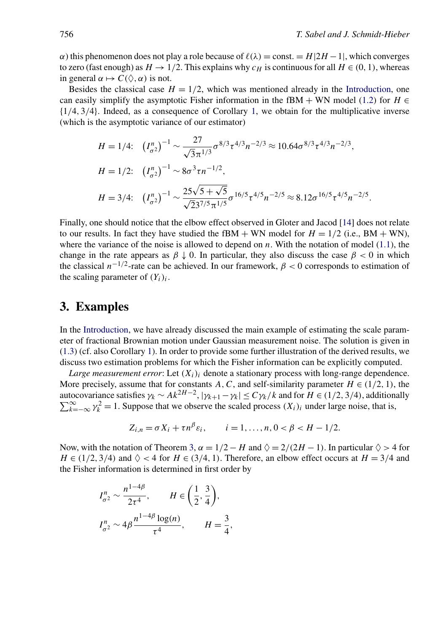<span id="page-9-0"></span>*α*) this phenomenon does not play a role because of  $\ell(\lambda) = \text{const.} = H(2H - 1)$ , which converges to zero (fast enough) as  $H \to 1/2$ . This explains why  $c_H$  is continuous for all  $H \in (0, 1)$ , whereas in general  $\alpha \mapsto C(\Diamond, \alpha)$  is not.

Besides the classical case  $H = 1/2$ , which was mentioned already in the [Introduction,](#page-0-0) one can easily simplify the asymptotic Fisher information in the fBM + WN model [\(1.2\)](#page-1-0) for  $H \in$ {1*/*4*,* 3*/*4}. Indeed, as a consequence of Corollary [1,](#page-7-0) we obtain for the multiplicative inverse (which is the asymptotic variance of our estimator)

$$
H = 1/4: \quad (I_{\sigma^2}^n)^{-1} \sim \frac{27}{\sqrt{3}\pi^{1/3}} \sigma^{8/3} \tau^{4/3} n^{-2/3} \approx 10.64 \sigma^{8/3} \tau^{4/3} n^{-2/3},
$$
  
\n
$$
H = 1/2: \quad (I_{\sigma^2}^n)^{-1} \sim 8\sigma^3 \tau n^{-1/2},
$$
  
\n
$$
H = 3/4: \quad (I_{\sigma^2}^n)^{-1} \sim \frac{25\sqrt{5} + \sqrt{5}}{\sqrt{2}3^{7/5} \pi^{1/5}} \sigma^{16/5} \tau^{4/5} n^{-2/5} \approx 8.12 \sigma^{16/5} \tau^{4/5} n^{-2/5}.
$$

Finally, one should notice that the elbow effect observed in Gloter and Jacod [\[14\]](#page-26-0) does not relate to our results. In fact they have studied the fBM + WN model for  $H = 1/2$  (i.e., BM + WN), where the variance of the noise is allowed to depend on *n*. With the notation of model [\(1.1\)](#page-0-0), the change in the rate appears as  $\beta \downarrow 0$ . In particular, they also discuss the case  $\beta < 0$  in which the classical  $n^{-1/2}$ -rate can be achieved. In our framework,  $\beta < 0$  corresponds to estimation of the scaling parameter of  $(Y_i)_i$ .

## **3. Examples**

In the [Introduction,](#page-0-0) we have already discussed the main example of estimating the scale parameter of fractional Brownian motion under Gaussian measurement noise. The solution is given in [\(1.3\)](#page-1-0) (cf. also Corollary [1\)](#page-7-0). In order to provide some further illustration of the derived results, we discuss two estimation problems for which the Fisher information can be explicitly computed.

*Large measurement error*: Let  $(X_i)_i$  denote a stationary process with long-range dependence. More precisely, assume that for constants *A*, *C*, and self-similarity parameter  $H \in (1/2, 1)$ , the autocovariance satisfies  $\gamma_k \sim Ak^{2H-2}$ ,  $|\gamma_{k+1} - \gamma_k| \le C \gamma_k / k$  and for  $H \in (1/2, 3/4)$ , additionally  $\sum_{k=1}^{\infty}$   $\gamma_k^2 - 1$ . Suppose that we observe the scaled process  $(X)$ , under large poise, that is  $\sum_{k=-\infty}^{\infty} \gamma_k^2 = 1$ . Suppose that we observe the scaled process  $(X_i)_i$  under large noise, that is,

$$
Z_{i,n} = \sigma X_i + \tau n^{\beta} \varepsilon_i, \qquad i = 1, ..., n, 0 < \beta < H - 1/2.
$$

Now, with the notation of Theorem [3,](#page-7-0)  $\alpha = 1/2 - H$  and  $\Diamond = 2/(2H - 1)$ . In particular  $\Diamond > 4$  for  $H \in (1/2, 3/4)$  and  $\diamondsuit < 4$  for  $H \in (3/4, 1)$ . Therefore, an elbow effect occurs at  $H = 3/4$  and the Fisher information is determined in first order by

$$
I_{\sigma^2}^n \sim \frac{n^{1-4\beta}}{2\tau^4}, \qquad H \in \left(\frac{1}{2}, \frac{3}{4}\right),
$$
  

$$
I_{\sigma^2}^n \sim 4\beta \frac{n^{1-4\beta} \log(n)}{\tau^4}, \qquad H = \frac{3}{4},
$$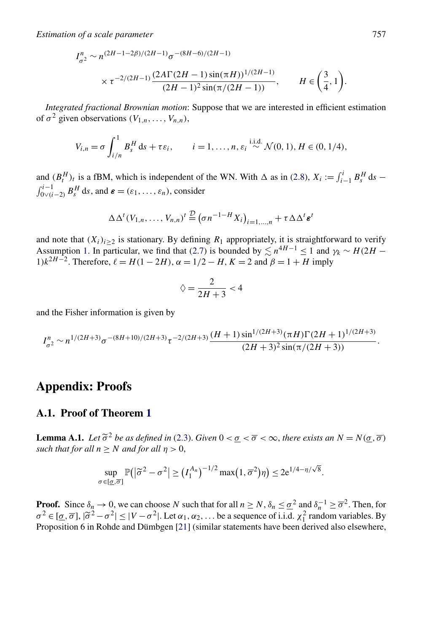<span id="page-10-0"></span>*Estimation of a scale parameter* 757

$$
I_{\sigma^2}^n \sim n^{(2H-1-2\beta)/(2H-1)} \sigma^{-(8H-6)/(2H-1)}
$$
  
 
$$
\times \tau^{-2/(2H-1)} \frac{(2A\Gamma(2H-1)\sin(\pi H))^{1/(2H-1)}}{(2H-1)^2 \sin(\pi/(2H-1))}, \qquad H \in \left(\frac{3}{4}, 1\right).
$$

*Integrated fractional Brownian motion*: Suppose that we are interested in efficient estimation of  $\sigma^2$  given observations  $(V_{1,n},...,V_{n,n}),$ 

$$
V_{i,n} = \sigma \int_{i/n}^{1} B_s^H ds + \tau \varepsilon_i, \qquad i = 1, ..., n, \varepsilon_i \stackrel{\text{i.i.d.}}{\sim} \mathcal{N}(0, 1), H \in (0, 1/4),
$$

and  $(B_t^H)_t$  is a fBM, which is independent of the WN. With  $\Delta$  as in [\(2.8\)](#page-6-0),  $X_i := \int_{i-1}^i B_s^H ds$  –  $\int_{0 \vee (i-2)}^{i-1} B_s^H ds$ , and  $\boldsymbol{\varepsilon} = (\varepsilon_1, \dots, \varepsilon_n)$ , consider

$$
\Delta \Delta^{t}(V_{1,n},\ldots,V_{n,n})^{t} \stackrel{\mathcal{D}}{=} (\sigma n^{-1-H}X_{i})_{i=1,\ldots,n} + \tau \Delta \Delta^{t} \epsilon^{t}
$$

and note that  $(X_i)_{i\geq 2}$  is stationary. By defining  $R_1$  appropriately, it is straightforward to verify Assumption [1.](#page-5-0) In particular, we find that [\(2.7\)](#page-5-0) is bounded by  $\leq n^{4H-1} \leq 1$  and  $\gamma_k \sim H(2H - 1)$ 1) $k^{2H-2}$ . Therefore,  $\ell = H(1-2H)$ ,  $\alpha = 1/2 - H$ ,  $K = 2$  and  $\beta = 1 + H$  imply

$$
\diamondsuit = \frac{2}{2H+3} < 4
$$

and the Fisher information is given by

$$
I_{\sigma^2}^n \sim n^{1/(2H+3)} \sigma^{-(8H+10)/(2H+3)} \tau^{-2/(2H+3)} \frac{(H+1)\sin^{1/(2H+3)}(\pi H)\Gamma(2H+1)^{1/(2H+3)}}{(2H+3)^2 \sin(\pi/(2H+3))}.
$$

## **Appendix: Proofs**

#### **A.1. Proof of Theorem [1](#page-4-0)**

**Lemma A.1.** *Let*  $\tilde{\sigma}^2$  *be as defined in* [\(2.3\)](#page-4-0). *Given*  $0 < \sigma < \overline{\sigma} < \infty$ , *there exists an*  $N = N(\sigma, \overline{\sigma})$ *such that for all*  $n > N$  *and for all*  $n > 0$ ,

$$
\sup_{\sigma \in [\underline{\sigma}, \overline{\sigma}]} \mathbb{P}\big( \big| \widetilde{\sigma}^2 - \sigma^2 \big| \ge \big( I_1^{A_n} \big)^{-1/2} \max\big( 1, \overline{\sigma}^2 \big) \eta \big) \le 2e^{1/4 - \eta/\sqrt{8}}.
$$

**Proof.** Since  $\delta_n \to 0$ , we can choose *N* such that for all  $n \ge N$ ,  $\delta_n \le \underline{\sigma}^2$  and  $\delta_n^{-1} \ge \overline{\sigma}^2$ . Then, for  $\sigma^2 \in [\sigma, \overline{\sigma}], |\tilde{\sigma}^2 - \sigma^2| \le |V - \sigma^2|$ . Let  $\alpha_1, \alpha_2, \ldots$  be a sequence of i.i.d.  $\chi_1^2$  random variables. By Proposition 6 in Robde and Dümbgen [21] (similar statements have been derived also elsewhere Proposition 6 in Rohde and Dümbgen [\[21\]](#page-26-0) (similar statements have been derived also elsewhere,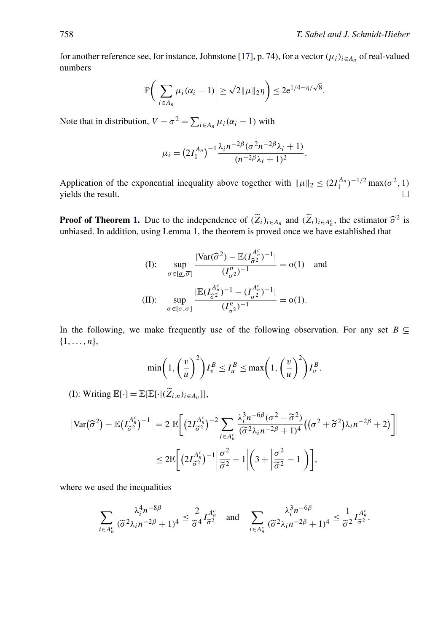for another reference see, for instance, Johnstone [\[17\]](#page-26-0), p. 74), for a vector  $(\mu_i)_{i \in A_n}$  of real-valued numbers

$$
\mathbb{P}\bigg(\bigg|\sum_{i\in A_n}\mu_i(\alpha_i-1)\bigg|\geq \sqrt{2}\|\mu\|_2\eta\bigg)\leq 2e^{1/4-\eta/\sqrt{8}}.
$$

Note that in distribution,  $V - \sigma^2 = \sum_{i \in A_n} \mu_i (\alpha_i - 1)$  with

$$
\mu_i = \left(2I_1^{A_n}\right)^{-1} \frac{\lambda_i n^{-2\beta} (\sigma^2 n^{-2\beta}\lambda_i + 1)}{(n^{-2\beta}\lambda_i + 1)^2}.
$$

Application of the exponential inequality above together with  $\|\mu\|_2 \leq (2I_1^{A_n})^{-1/2} \max(\sigma^2, 1)$ yields the result.

**Proof of Theorem [1.](#page-4-0)** Due to the independence of  $(\tilde{Z}_i)_{i \in A_n}$  and  $(\tilde{Z}_i)_{i \in A_n^c}$ , the estimator  $\hat{\sigma}^2$  is unbiased. In addition, using Lemma 1, the theorem is proved once we have established that unbiased. In addition, using Lemma [1,](#page-3-0) the theorem is proved once we have established that

(I): 
$$
\sup_{\sigma \in [\underline{\sigma}, \overline{\sigma}]} \frac{|\text{Var}(\widehat{\sigma}^2) - \mathbb{E}(I_{\widehat{\sigma}^2}^{A_n^c})^{-1}|}{(I_{\sigma^2}^n)^{-1}} = o(1) \text{ and}
$$
  
(II): 
$$
\sup_{\sigma \in [\underline{\sigma}, \overline{\sigma}]} \frac{|\mathbb{E}(I_{\widehat{\sigma}^2}^{A_n^c})^{-1} - (I_{\sigma^2}^{A_n^c})^{-1}|}{(I_{\sigma^2}^n)^{-1}} = o(1).
$$

In the following, we make frequently use of the following observation. For any set  $B \subseteq$ {1*,...,n*},

$$
\min\left(1,\left(\frac{v}{u}\right)^2\right)I_v^B \le I_u^B \le \max\left(1,\left(\frac{v}{u}\right)^2\right)I_v^B.
$$

(I): Writing  $\mathbb{E}[\cdot] = \mathbb{E}[\mathbb{E}[\cdot | (\widetilde{Z}_{i,n})_{i \in A_n}]],$ 

$$
\begin{split} \left| \text{Var}(\widehat{\sigma}^2) - \mathbb{E} \big( I_{\widetilde{\sigma}^2}^{A_n^c} \big)^{-1} \right| &= 2 \left| \mathbb{E} \bigg[ \big( 2 I_{\widetilde{\sigma}^2}^{A_n^c} \big)^{-2} \sum_{i \in A_n^c} \frac{\lambda_i^3 n^{-6\beta} (\sigma^2 - \widetilde{\sigma}^2)}{(\widetilde{\sigma}^2 \lambda_i n^{-2\beta} + 1)^4} \big( (\sigma^2 + \widetilde{\sigma}^2) \lambda_i n^{-2\beta} + 2 \big) \bigg] \right| \\ &\le 2 \mathbb{E} \bigg[ \big( 2 I_{\widetilde{\sigma}^2}^{A_n^c} \big)^{-1} \bigg| \frac{\sigma^2}{\widetilde{\sigma}^2} - 1 \bigg| \bigg( 3 + \bigg| \frac{\sigma^2}{\widetilde{\sigma}^2} - 1 \bigg| \bigg) \bigg], \end{split}
$$

where we used the inequalities

$$
\sum_{i \in A_n^c} \frac{\lambda_i^4 n^{-8\beta}}{(\widetilde{\sigma}^2 \lambda_i n^{-2\beta} + 1)^4} \le \frac{2}{\widetilde{\sigma}^4} I_{\widetilde{\sigma}^2}^{A_n^c} \quad \text{and} \quad \sum_{i \in A_n^c} \frac{\lambda_i^3 n^{-6\beta}}{(\widetilde{\sigma}^2 \lambda_i n^{-2\beta} + 1)^4} \le \frac{1}{\widetilde{\sigma}^2} I_{\widetilde{\sigma}^2}^{A_n^c}.
$$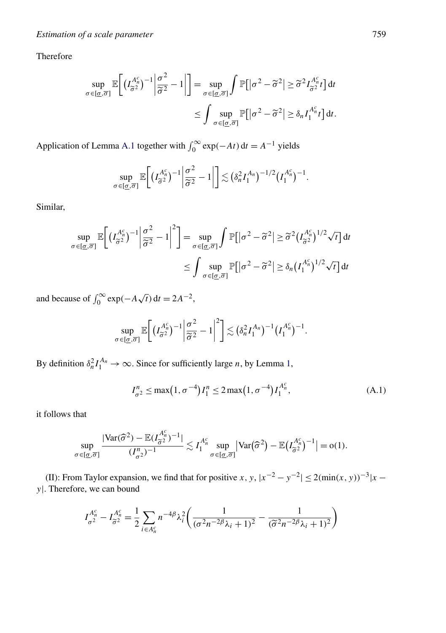<span id="page-12-0"></span>Therefore

$$
\sup_{\sigma \in [\underline{\sigma}, \overline{\sigma}]} \mathbb{E}\bigg[ \left( I_{\widetilde{\sigma}^2}^{A_n^c} \right)^{-1} \bigg| \frac{\sigma^2}{\widetilde{\sigma}^2} - 1 \bigg| \bigg] = \sup_{\sigma \in [\underline{\sigma}, \overline{\sigma}]} \int \mathbb{P} \big[ |\sigma^2 - \widetilde{\sigma}^2| \geq \widetilde{\sigma}^2 I_{\widetilde{\sigma}^2}^{A_n^c} t \big] dt
$$

$$
\leq \int \sup_{\sigma \in [\underline{\sigma}, \overline{\sigma}]} \mathbb{P} \big[ |\sigma^2 - \widetilde{\sigma}^2| \geq \delta_n I_1^{A_n^c} t \big] dt.
$$

Application of Lemma [A.1](#page-10-0) together with  $\int_0^\infty \exp(-At) dt = A^{-1}$  yields

$$
\sup_{\sigma \in [\underline{\sigma}, \overline{\sigma}]} \mathbb{E}\bigg[\big(I_{\widetilde{\sigma}^2}^{A_n^c}\big)^{-1}\bigg| \frac{\sigma^2}{\widetilde{\sigma}^2} - 1 \bigg|\bigg] \lesssim \big(\delta_n^2 I_1^{A_n}\big)^{-1/2} \big(I_1^{A_n^c}\big)^{-1}.
$$

Similar,

$$
\sup_{\sigma \in [\underline{\sigma}, \overline{\sigma}]} \mathbb{E}\bigg[ (I_{\widetilde{\sigma}^2}^{A_n^c})^{-1} \bigg| \frac{\sigma^2}{\widetilde{\sigma}^2} - 1 \bigg|^2 \bigg] = \sup_{\sigma \in [\underline{\sigma}, \overline{\sigma}]} \int \mathbb{P}[|\sigma^2 - \widetilde{\sigma}^2| \ge \widetilde{\sigma}^2 (I_{\widetilde{\sigma}^2}^{A_n^c})^{1/2} \sqrt{t}] dt
$$

$$
\le \int \sup_{\sigma \in [\underline{\sigma}, \overline{\sigma}]} \mathbb{P}[|\sigma^2 - \widetilde{\sigma}^2| \ge \delta_n (I_1^{A_n^c})^{1/2} \sqrt{t}] dt
$$

and because of  $\int_0^\infty \exp(-A\sqrt{t}) dt = 2A^{-2}$ ,

$$
\sup_{\sigma \in [\underline{\sigma}, \overline{\sigma}]} \mathbb{E}\bigg[ \big(I_{\widetilde{\sigma}^2}^{A_n^c}\big)^{-1} \bigg| \frac{\sigma^2}{\widetilde{\sigma}^2} - 1 \bigg|^2 \bigg] \lesssim \big(\delta_n^2 I_1^{A_n}\big)^{-1} \big(I_1^{A_n^c}\big)^{-1}.
$$

By definition  $\delta_n^2 I_1^{A_n} \to \infty$ . Since for sufficiently large *n*, by Lemma [1,](#page-3-0)

$$
I_{\sigma^2}^n \le \max(1, \sigma^{-4}) I_1^n \le 2 \max(1, \sigma^{-4}) I_1^{A_n^c}, \tag{A.1}
$$

it follows that

$$
\sup_{\sigma \in [\underline{\sigma}, \overline{\sigma}]} \frac{|\text{Var}(\widehat{\sigma}^2) - \mathbb{E}(I_{\widetilde{\sigma}^2}^{A_n^c})^{-1}|}{(I_{\sigma^2}^n)^{-1}} \lesssim I_1^{A_n^c} \sup_{\sigma \in [\underline{\sigma}, \overline{\sigma}]} |\text{Var}(\widehat{\sigma}^2) - \mathbb{E}(I_{\widetilde{\sigma}^2}^{A_n^c})^{-1}| = o(1).
$$

(II): From Taylor expansion, we find that for positive *x*, *y*,  $|x^{-2} - y^{-2}| \le 2(\min(x, y))^{-3}|x - y|$ *y*|. Therefore, we can bound

$$
I_{\sigma^2}^{A_n^c} - I_{\widetilde{\sigma}^2}^{A_n^c} = \frac{1}{2} \sum_{i \in A_n^c} n^{-4\beta} \lambda_i^2 \left( \frac{1}{(\sigma^2 n^{-2\beta} \lambda_i + 1)^2} - \frac{1}{(\widetilde{\sigma}^2 n^{-2\beta} \lambda_i + 1)^2} \right)
$$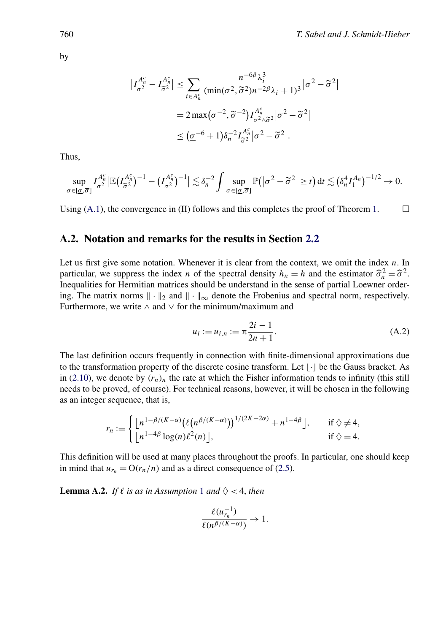$$
\left| I_{\sigma^2}^{A_n^c} - I_{\widetilde{\sigma}^2}^{A_n^c} \right| \le \sum_{i \in A_n^c} \frac{n^{-6\beta} \lambda_i^3}{(\min(\sigma^2, \widetilde{\sigma}^2)n^{-2\beta}\lambda_i + 1)^3} |\sigma^2 - \widetilde{\sigma}^2|
$$
  
=  $2 \max(\sigma^{-2}, \widetilde{\sigma}^{-2}) I_{\sigma^2 \wedge \widetilde{\sigma}^2}^{A_n^c} |\sigma^2 - \widetilde{\sigma}^2|$   
 $\le (\underline{\sigma}^{-6} + 1) \delta_n^{-2} I_{\widetilde{\sigma}^2}^{A_n^c} |\sigma^2 - \widetilde{\sigma}^2|.$ 

Thus,

$$
\sup_{\sigma \in [\underline{\sigma},\overline{\sigma}]} I_{\sigma^2}^{A_n^c} \left| \mathbb{E} \left( I_{\widetilde{\sigma}^2}^{A_n^c} \right)^{-1} - \left( I_{\sigma^2}^{A_n^c} \right)^{-1} \right| \lesssim \delta_n^{-2} \int \sup_{\sigma \in [\underline{\sigma},\overline{\sigma}]} \mathbb{P} \left( \left| \sigma^2 - \widetilde{\sigma}^2 \right| \geq t \right) dt \lesssim \left( \delta_n^4 I_1^{A_n} \right)^{-1/2} \to 0.
$$

Using [\(A.1\)](#page-12-0), the convergence in (II) follows and this completes the proof of Theorem [1.](#page-4-0)  $\Box$ 

#### **A.2. Notation and remarks for the results in Section [2.2](#page-4-0)**

Let us first give some notation. Whenever it is clear from the context, we omit the index *n*. In particular, we suppress the index *n* of the spectral density  $h_n = h$  and the estimator  $\hat{\sigma}_n^2 = \hat{\sigma}^2$ .<br>Inequalities for Hermitian matrices should be understand in the sense of partial Loewner order-Inequalities for Hermitian matrices should be understand in the sense of partial Loewner ordering. The matrix norms  $\|\cdot\|_2$  and  $\|\cdot\|_{\infty}$  denote the Frobenius and spectral norm, respectively. Furthermore, we write  $\land$  and  $\lor$  for the minimum/maximum and

$$
u_i := u_{i,n} := \pi \frac{2i - 1}{2n + 1}.
$$
\n(A.2)

The last definition occurs frequently in connection with finite-dimensional approximations due to the transformation property of the discrete cosine transform. Let  $|\cdot|$  be the Gauss bracket. As in [\(2.10\)](#page-6-0), we denote by  $(r_n)_n$  the rate at which the Fisher information tends to infinity (this still needs to be proved, of course). For technical reasons, however, it will be chosen in the following as an integer sequence, that is,

$$
r_n := \begin{cases} \left\lfloor \frac{n^{1-\beta/(K-\alpha)} \left( \ell \left( n^{\beta/(K-\alpha)} \right) \right)^{1/(2K-2\alpha)} + n^{1-4\beta} \right\rfloor, & \text{if } \Diamond \neq 4, \\ \left\lfloor n^{1-4\beta} \log(n) \ell^2(n) \right\rfloor, & \text{if } \Diamond = 4. \end{cases}
$$

This definition will be used at many places throughout the proofs. In particular, one should keep in mind that  $u_{r_n} = O(r_n/n)$  and as a direct consequence of [\(2.5\)](#page-5-0).

**Lemma A.2.** *If*  $\ell$  *is as in Assumption* [1](#page-5-0) *and*  $\Diamond$  < 4*, then* 

$$
\frac{\ell(u_{r_n}^{-1})}{\ell(n^{\beta/(K-\alpha)})} \to 1.
$$

<span id="page-13-0"></span>by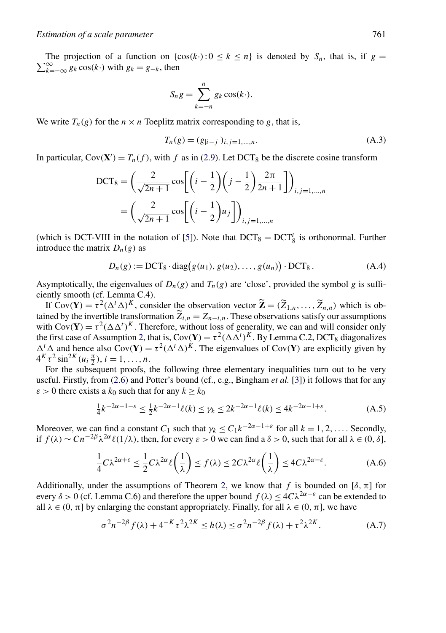<span id="page-14-0"></span> $\sum_{k=-\infty}^{\infty} g_k \cos(k \cdot)$  with  $g_k = g_{-k}$ , then The projection of a function on  $\{\cos(k \cdot): 0 \leq k \leq n\}$  is denoted by  $S_n$ , that is, if  $g =$ 

$$
S_n g = \sum_{k=-n}^n g_k \cos(k \cdot).
$$

We write  $T_n(g)$  for the  $n \times n$  Toeplitz matrix corresponding to g, that is,

$$
T_n(g) = (g_{|i-j|})_{i,j=1,\dots,n}.
$$
\n(A.3)

In particular,  $Cov(\mathbf{X}') = T_n(f)$ , with f as in [\(2.9\)](#page-6-0). Let DCT<sub>8</sub> be the discrete cosine transform

$$
DCT_8 = \left(\frac{2}{\sqrt{2n+1}}\cos\left[\left(i-\frac{1}{2}\right)\left(j-\frac{1}{2}\right)\frac{2\pi}{2n+1}\right]\right)_{i,j=1,\dots,n}
$$

$$
= \left(\frac{2}{\sqrt{2n+1}}\cos\left[\left(i-\frac{1}{2}\right)u_j\right]\right)_{i,j=1,\dots,n}
$$

(which is DCT-VIII in the notation of [\[5\]](#page-26-0)). Note that  $DCT_8 = DCT_8^t$  is orthonormal. Further introduce the matrix  $D_n(g)$  as

$$
D_n(g) := DCT_8 \cdot diag(g(u_1), g(u_2), \dots, g(u_n)) \cdot DCT_8.
$$
 (A.4)

Asymptotically, the eigenvalues of  $D_n(g)$  and  $T_n(g)$  are 'close', provided the symbol *g* is sufficiently smooth (cf. Lemma C.4).

If  $Cov(\mathbf{Y}) = \tau^2 (\Delta^t \Delta)^K$ , consider the observation vector  $\widetilde{\mathbf{Z}} = (\widetilde{Z}_{1,n}, \ldots, \widetilde{Z}_{n,n})$  which is obtained by the invertible transformation  $Z_{i,n} = Z_{n-i,n}$ . These observations satisfy our assumptions with  $Cov(\mathbf{X}) = z^2(\Lambda \Lambda^T)^K$ . Therefore, without loss of concretity we see and will consider solve with  $Cov(Y) = \tau^2 (\Delta \Delta^t)^K$ . Therefore, without loss of generality, we can and will consider only the first case of Assumption [2,](#page-6-0) that is,  $Cov(\mathbf{Y}) = \tau^2 (\Delta \Delta^t)^K$ . By Lemma C.2, DCT<sub>8</sub> diagonalizes  $\Delta^t \Delta$  and hence also  $Cov(Y) = \tau^2 (\Delta^t \Delta)^K$ . The eigenvalues of  $Cov(Y)$  are explicitly given by  $4^K \tau^2 \sin^{2K}(u_i \frac{\pi}{2}), i = 1, \ldots, n.$ 

For the subsequent proofs, the following three elementary inequalities turn out to be very useful. Firstly, from [\(2.6\)](#page-5-0) and Potter's bound (cf., e.g., Bingham *et al.* [\[3\]](#page-26-0)) it follows that for any  $\varepsilon > 0$  there exists a  $k_0$  such that for any  $k \geq k_0$ 

$$
\frac{1}{4}k^{-2\alpha - 1 - \varepsilon} \le \frac{1}{2}k^{-2\alpha - 1}\ell(k) \le \gamma_k \le 2k^{-2\alpha - 1}\ell(k) \le 4k^{-2\alpha - 1 + \varepsilon}.
$$
 (A.5)

Moreover, we can find a constant  $C_1$  such that  $\gamma_k \leq C_1 k^{-2\alpha - 1 + \varepsilon}$  for all  $k = 1, 2, \ldots$ . Secondly, if  $f(\lambda) \sim C n^{-2\beta} \lambda^{2\alpha} \ell(1/\lambda)$ , then, for every  $\varepsilon > 0$  we can find a  $\delta > 0$ , such that for all  $\lambda \in (0, \delta]$ ,

$$
\frac{1}{4}C\lambda^{2\alpha+\varepsilon} \le \frac{1}{2}C\lambda^{2\alpha} \ell\left(\frac{1}{\lambda}\right) \le f(\lambda) \le 2C\lambda^{2\alpha} \ell\left(\frac{1}{\lambda}\right) \le 4C\lambda^{2\alpha-\varepsilon}.\tag{A.6}
$$

Additionally, under the assumptions of Theorem [2,](#page-6-0) we know that *f* is bounded on [ $\delta$ ,  $\pi$ ] for every  $\delta > 0$  (cf. Lemma C.6) and therefore the upper bound  $f(\lambda) \leq 4C\lambda^{2\alpha-\epsilon}$  can be extended to all  $\lambda \in (0, \pi]$  by enlarging the constant appropriately. Finally, for all  $\lambda \in (0, \pi]$ , we have

$$
\sigma^2 n^{-2\beta} f(\lambda) + 4^{-K} \tau^2 \lambda^{2K} \le h(\lambda) \le \sigma^2 n^{-2\beta} f(\lambda) + \tau^2 \lambda^{2K}.
$$
 (A.7)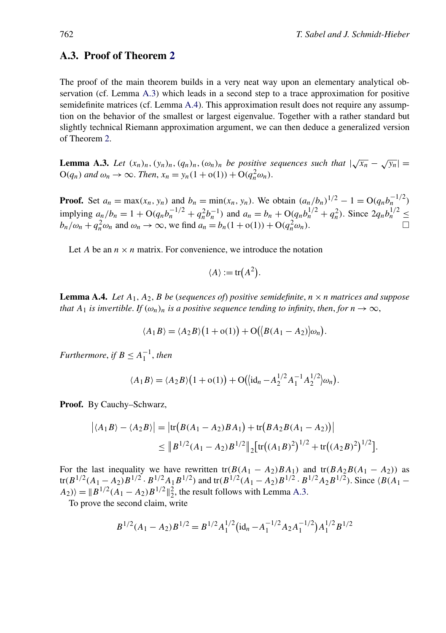#### <span id="page-15-0"></span>**A.3. Proof of Theorem [2](#page-6-0)**

The proof of the main theorem builds in a very neat way upon an elementary analytical observation (cf. Lemma A.3) which leads in a second step to a trace approximation for positive semidefinite matrices (cf. Lemma A.4). This approximation result does not require any assumption on the behavior of the smallest or largest eigenvalue. Together with a rather standard but slightly technical Riemann approximation argument, we can then deduce a generalized version of Theorem [2.](#page-6-0)

**Lemma A.3.** *Let*  $(x_n)_n$ ,  $(y_n)_n$ ,  $(q_n)_n$ ,  $(\omega_n)_n$  *be positive sequences such that*  $|\sqrt{x_n} - \sqrt{y_n}|$  =  $O(q_n)$  *and*  $\omega_n \to \infty$ . *Then*,  $x_n = y_n(1 + o(1)) + O(q_n^2 \omega_n)$ .

**Proof.** Set  $a_n = \max(x_n, y_n)$  and  $b_n = \min(x_n, y_n)$ . We obtain  $(a_n/b_n)^{1/2} - 1 = O(q_n b_n^{-1/2})$ implying  $a_n/b_n = 1 + O(q_n b_n^{-1/2} + q_n^2 b_n^{-1})$  and  $a_n = b_n + O(q_n b_n^{1/2} + q_n^2)$ . Since  $2q_n b_n^{1/2} \leq$  $b_n/\omega_n + q_n^2 \omega_n$  and  $\omega_n \to \infty$ , we find  $a_n = b_n(1 + o(1)) + O(q_n^2 \omega_n)$ .

Let *A* be an  $n \times n$  matrix. For convenience, we introduce the notation

$$
\langle A \rangle := \text{tr}(A^2).
$$

**Lemma A.4.** *Let*  $A_1$ ,  $A_2$ ,  $B$  *be* (*sequences of*) *positive semidefinite*,  $n \times n$  *matrices and suppose that*  $A_1$  *is invertible. If*  $(\omega_n)_n$  *is a positive sequence tending to infinity, then, for*  $n \to \infty$ ,

$$
\langle A_1 B \rangle = \langle A_2 B \rangle (1 + o(1)) + O(|B(A_1 - A_2)|\omega_n).
$$

*Furthermore, if*  $B \leq A_1^{-1}$ *, then* 

$$
\langle A_1 B \rangle = \langle A_2 B \rangle (1 + o(1)) + O(|id_n - A_2^{1/2} A_1^{-1} A_2^{1/2}) \omega_n).
$$

**Proof.** By Cauchy–Schwarz,

$$
\left| \langle A_1 B \rangle - \langle A_2 B \rangle \right| = \left| \text{tr} \big( B(A_1 - A_2) B A_1 \big) + \text{tr} \big( B A_2 B(A_1 - A_2) \big) \right|
$$
  
 
$$
\leq \| B^{1/2} (A_1 - A_2) B^{1/2} \|_2 \left[ \text{tr} \big( (A_1 B)^2 \big)^{1/2} + \text{tr} \big( (A_2 B)^2 \big)^{1/2} \right].
$$

For the last inequality we have rewritten tr $(B(A_1 - A_2)BA_1)$  and tr $(BA_2B(A_1 - A_2))$  as  $tr(B^{1/2}(A_1-A_2)B^{1/2} \cdot B^{1/2}A_1B^{1/2})$  and  $tr(B^{1/2}(A_1-A_2)B^{1/2} \cdot B^{1/2}A_2B^{1/2})$ . Since  $\langle B(A_1-A_2)B^{1/2} \cdot B^{1/2}A_1B^{1/2} \rangle$  $|A_2\rangle$  =  $||B^{1/2}(A_1 - A_2)B^{1/2}||_2^2$ , the result follows with Lemma A.3.

To prove the second claim, write

$$
B^{1/2}(A_1 - A_2)B^{1/2} = B^{1/2}A_1^{1/2}(\text{id}_n - A_1^{-1/2}A_2A_1^{-1/2})A_1^{1/2}B^{1/2}
$$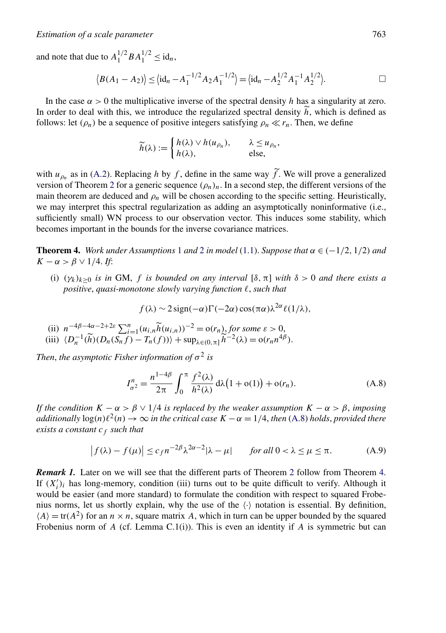<span id="page-16-0"></span>and note that due to  $A_1^{1/2} B A_1^{1/2} \leq id_n$ ,

$$
\langle B(A_1 - A_2) \rangle \le \langle \mathrm{id}_n - A_1^{-1/2} A_2 A_1^{-1/2} \rangle = \langle \mathrm{id}_n - A_2^{1/2} A_1^{-1} A_2^{1/2} \rangle.
$$

In the case  $\alpha > 0$  the multiplicative inverse of the spectral density *h* has a singularity at zero. In order to deal with this, we introduce the regularized spectral density  $\tilde{h}$ , which is defined as follows: let  $(\rho_n)$  be a sequence of positive integers satisfying  $\rho_n \ll r_n$ . Then, we define

$$
\widetilde{h}(\lambda) := \begin{cases} h(\lambda) \vee h(u_{\rho_n}), & \lambda \leq u_{\rho_n}, \\ h(\lambda), & \text{else,} \end{cases}
$$

with  $u_{p_n}$  as in [\(A.2\)](#page-13-0). Replacing *h* by *f*, define in the same way *f*. We will prove a generalized version of Theorem [2](#page-6-0) for a generic sequence  $(\rho_n)_n$ . In a second step, the different versions of the main theorem are deduced and  $\rho_n$  will be chosen according to the specific setting. Heuristically, we may interpret this spectral regularization as adding an asymptotically noninformative (i.e., sufficiently small) WN process to our observation vector. This induces some stability, which becomes important in the bounds for the inverse covariance matrices.

**Theorem 4.** *Work under Assumptions* [1](#page-5-0) *and* [2](#page-6-0) *in model* [\(1.1\)](#page-0-0). *Suppose that*  $\alpha \in (-1/2, 1/2)$  *and*  $K - \alpha > \beta \vee 1/4$ . *If*:

(i)  $(\gamma_k)_{k>0}$  *is in* GM, *f is bounded on any interval*  $[\delta, \pi]$  *with*  $\delta > 0$  *and there exists a positive*, *quasi-monotone slowly varying function* , *such that*

$$
f(\lambda) \sim 2 \operatorname{sign}(-\alpha) \Gamma(-2\alpha) \cos(\pi \alpha) \lambda^{2\alpha} \ell(1/\lambda),
$$

- 
- (ii)  $n^{-4\beta-4\alpha-2+2\varepsilon} \sum_{i=1}^n (u_{i,n} \tilde{h}(u_{i,n}))^{-2} = o(r_n)$  for some  $\varepsilon > 0$ ,<br>(iii)  $\langle D_n^{-1}(\tilde{h})(D_n(S_nf) T_n(f)) \rangle + \sup_{\lambda \in (0,\pi]} \tilde{h}^{-2}(\lambda) = o(r_n n^{4\beta}).$

*Then, the asymptotic Fisher information of*  $\sigma^2$  *is* 

$$
I_{\sigma^2}^n = \frac{n^{1-4\beta}}{2\pi} \int_0^{\pi} \frac{f^2(\lambda)}{h^2(\lambda)} d\lambda (1 + o(1)) + o(r_n).
$$
 (A.8)

*If the condition*  $K - \alpha > \beta \vee 1/4$  *is replaced by the weaker assumption*  $K - \alpha > \beta$ *, imposing additionally*  $\log(n)\ell^2(n) \to \infty$  *in the critical case*  $K - \alpha = 1/4$ , *then* (A.8) *holds*, *provided there exists a constant*  $c_f$  *such that* 

$$
\left| f(\lambda) - f(\mu) \right| \le c_f n^{-2\beta} \lambda^{2\alpha - 2} |\lambda - \mu| \quad \text{for all } 0 < \lambda \le \mu \le \pi. \tag{A.9}
$$

*Remark 1.* Later on we will see that the different parts of Theorem [2](#page-6-0) follow from Theorem 4. If  $(X'_i)_i$  has long-memory, condition (iii) turns out to be quite difficult to verify. Although it would be easier (and more standard) to formulate the condition with respect to squared Frobenius norms, let us shortly explain, why the use of the  $\langle \cdot \rangle$  notation is essential. By definition,  $\langle A \rangle = \text{tr}(A^2)$  for an  $n \times n$ , square matrix A, which in turn can be upper bounded by the squared Frobenius norm of *A* (cf. Lemma C.1(i)). This is even an identity if *A* is symmetric but can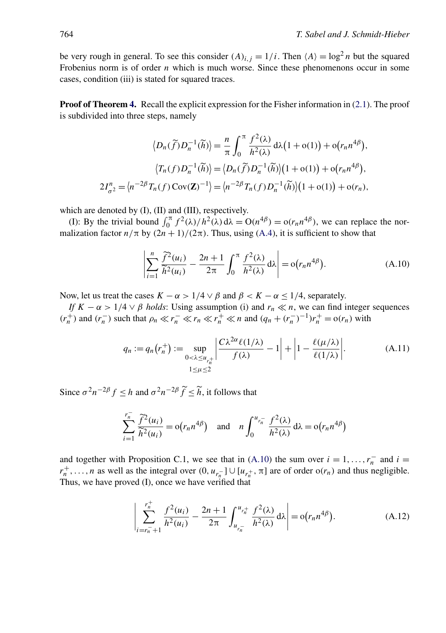<span id="page-17-0"></span>be very rough in general. To see this consider  $(A)_{i,j} = 1/i$ . Then  $\langle A \rangle = \log^2 n$  but the squared Frobenius norm is of order *n* which is much worse. Since these phenomenons occur in some cases, condition (iii) is stated for squared traces.

**Proof of Theorem [4.](#page-16-0)** Recall the explicit expression for the Fisher information in [\(2.1\)](#page-2-0). The proof is subdivided into three steps, namely

$$
\langle D_n(\widetilde{f})D_n^{-1}(\widetilde{h})\rangle = \frac{n}{\pi} \int_0^{\pi} \frac{f^2(\lambda)}{h^2(\lambda)} d\lambda (1 + o(1)) + o(r_n n^{4\beta}),
$$

$$
\langle T_n(f)D_n^{-1}(\widetilde{h})\rangle = \langle D_n(\widetilde{f})D_n^{-1}(\widetilde{h})\rangle (1 + o(1)) + o(r_n n^{4\beta}),
$$

$$
2I_{\sigma^2}^n = \langle n^{-2\beta}T_n(f) \operatorname{Cov}(\mathbf{Z})^{-1}\rangle = \langle n^{-2\beta}T_n(f)D_n^{-1}(\widetilde{h})\rangle (1 + o(1)) + o(r_n),
$$

which are denoted by (I), (II) and (III), respectively.

(I): By the trivial bound  $\int_0^{\pi} f^2(\lambda)/h^2(\lambda) d\lambda = O(n^{4\beta}) = o(r_n n^{4\beta})$ , we can replace the normalization factor  $n/\pi$  by  $(2n+1)/(2\pi)$ . Thus, using [\(A.4\)](#page-14-0), it is sufficient to show that

$$
\left|\sum_{i=1}^{n} \frac{\tilde{f}^2(u_i)}{\tilde{h}^2(u_i)} - \frac{2n+1}{2\pi} \int_0^{\pi} \frac{f^2(\lambda)}{h^2(\lambda)} d\lambda\right| = o(r_n n^{4\beta}).
$$
\n(A.10)

Now, let us treat the cases  $K - \alpha > 1/4 \vee \beta$  and  $\beta < K - \alpha \le 1/4$ , separately.

*If*  $K - \alpha > 1/4 \vee \beta$  *holds*: Using assumption (i) and  $r_n \ll n$ , we can find integer sequences  $(r_n^+)$  and  $(r_n^-)$  such that  $\rho_n \ll r_n^- \ll r_n \ll r_n^+ \ll n$  and  $(q_n + (r_n^-)^{-1})r_n^+ = o(r_n)$  with

$$
q_n := q_n(r_n^+) := \sup_{\substack{0 < \lambda \le u_{r_n^+} \\ 1 \le \mu \le 2}} \left| \frac{C\lambda^{2\alpha} \ell(1/\lambda)}{f(\lambda)} - 1 \right| + \left| 1 - \frac{\ell(\mu/\lambda)}{\ell(1/\lambda)} \right|.
$$
\n(A.11)

Since  $\sigma^2 n^{-2\beta} f \leq h$  and  $\sigma^2 n^{-2\beta} \tilde{f} \leq \tilde{h}$ , it follows that

$$
\sum_{i=1}^{r_n^-} \frac{\tilde{f}^2(u_i)}{\tilde{h}^2(u_i)} = o(r_n n^{4\beta}) \quad \text{and} \quad n \int_0^{u_{r_n^-}} \frac{f^2(\lambda)}{h^2(\lambda)} d\lambda = o(r_n n^{4\beta})
$$

and together with Proposition C.1, we see that in (A.10) the sum over  $i = 1, \ldots, r_n^-$  and  $i =$  $r_n^+$ , ..., *n* as well as the integral over  $(0, u_{r_n^-}] \cup [u_{r_n^+}, \pi]$  are of order o $(r_n)$  and thus negligible. Thus, we have proved (I), once we have verified that

$$
\left| \sum_{i=r_n^-+1}^{r_n^+} \frac{f^2(u_i)}{h^2(u_i)} - \frac{2n+1}{2\pi} \int_{u_{r_n^-}}^{u_{r_n^+}} \frac{f^2(\lambda)}{h^2(\lambda)} d\lambda \right| = o(r_n n^{4\beta}). \tag{A.12}
$$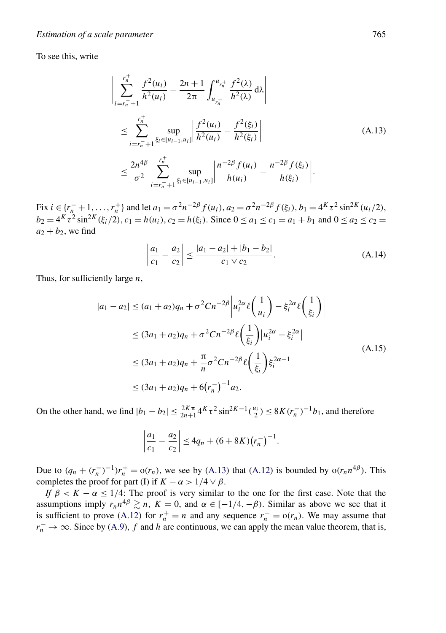<span id="page-18-0"></span>To see this, write

$$
\left| \sum_{i=r_{n}^{-}+1}^{r_{n}^{+}} \frac{f^{2}(u_{i})}{h^{2}(u_{i})} - \frac{2n+1}{2\pi} \int_{u_{r_{n}^{-}}}^{u_{r_{n}^{+}}} \frac{f^{2}(\lambda)}{h^{2}(\lambda)} d\lambda \right|
$$
\n
$$
\leq \sum_{i=r_{n}^{-}+1}^{r_{n^{+}}} \sup_{\xi_{i} \in [u_{i-1}, u_{i}]} \left| \frac{f^{2}(u_{i})}{h^{2}(u_{i})} - \frac{f^{2}(\xi_{i})}{h^{2}(\xi_{i})} \right|
$$
\n
$$
\leq \frac{2n^{4\beta}}{\sigma^{2}} \sum_{i=r_{n}^{-}+1}^{r_{n^{+}}} \sup_{\xi_{i} \in [u_{i-1}, u_{i}]} \left| \frac{n^{-2\beta} f(u_{i})}{h(u_{i})} - \frac{n^{-2\beta} f(\xi_{i})}{h(\xi_{i})} \right|.
$$
\n(A.13)

 $\text{Fix } i \in \{r_n^- + 1, \ldots, r_n^+\}$  and let  $a_1 = \sigma^2 n^{-2\beta} f(u_i)$ ,  $a_2 = \sigma^2 n^{-2\beta} f(\xi_i)$ ,  $b_1 = 4^K \tau^2 \sin^{2K}(u_i/2)$ ,  $b_2 = 4^K \tau^2 \sin^{2K}(\xi_i/2), c_1 = h(u_i), c_2 = h(\xi_i).$  Since  $0 \le a_1 \le c_1 = a_1 + b_1$  and  $0 \le a_2 \le c_2 = a_1$  $a_2 + b_2$ , we find

$$
\left|\frac{a_1}{c_1} - \frac{a_2}{c_2}\right| \le \frac{|a_1 - a_2| + |b_1 - b_2|}{c_1 \vee c_2}.
$$
\n(A.14)

Thus, for sufficiently large *n*,

$$
|a_1 - a_2| \le (a_1 + a_2)q_n + \sigma^2 C n^{-2\beta} \left| u_i^{2\alpha} \ell\left(\frac{1}{u_i}\right) - \xi_i^{2\alpha} \ell\left(\frac{1}{\xi_i}\right) \right|
$$
  
\n
$$
\le (3a_1 + a_2)q_n + \sigma^2 C n^{-2\beta} \ell\left(\frac{1}{\xi_i}\right) |u_i^{2\alpha} - \xi_i^{2\alpha}|
$$
  
\n
$$
\le (3a_1 + a_2)q_n + \frac{\pi}{n} \sigma^2 C n^{-2\beta} \ell\left(\frac{1}{\xi_i}\right) \xi_i^{2\alpha - 1}
$$
  
\n
$$
\le (3a_1 + a_2)q_n + 6(r_n^{-})^{-1} a_2.
$$
 (A.15)

On the other hand, we find  $|b_1 - b_2| \le \frac{2K\pi}{2n+1} 4K\tau^2 \sin^{2K-1}(\frac{u_i}{2}) \le 8K(r_n^{-})^{-1}b_1$ , and therefore

$$
\left|\frac{a_1}{c_1}-\frac{a_2}{c_2}\right|\leq 4q_n+(6+8K)(r_n^-)^{-1}.
$$

Due to  $(q_n + (r_n^-)^{-1})r_n^+ = o(r_n)$ , we see by (A.13) that [\(A.12\)](#page-17-0) is bounded by  $o(r_n n^{4\beta})$ . This completes the proof for part (I) if  $K - \alpha > 1/4 \vee \beta$ .

*If*  $\beta < K - \alpha \leq 1/4$ : The proof is very similar to the one for the first case. Note that the assumptions imply  $r_n n^{4\beta} \geq n$ ,  $K = 0$ , and  $\alpha \in [-1/4, -\beta)$ . Similar as above we see that it is sufficient to prove [\(A.12\)](#page-17-0) for  $r_n^+ = n$  and any sequence  $r_n^- = o(r_n)$ . We may assume that  $r_n^- \to \infty$ . Since by [\(A.9\)](#page-16-0), *f* and *h* are continuous, we can apply the mean value theorem, that is,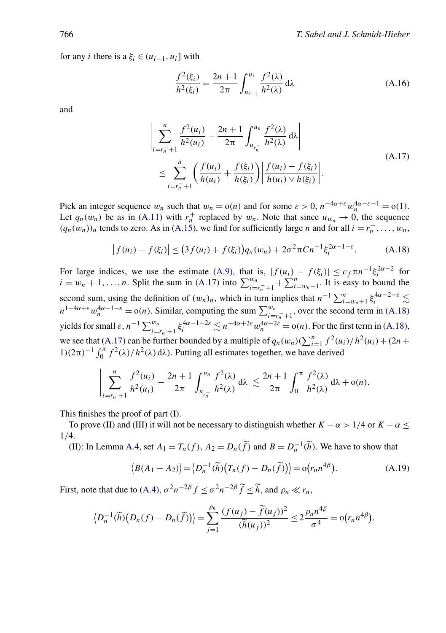<span id="page-19-0"></span>for any *i* there is a  $\xi_i \in (u_{i-1}, u_i]$  with

$$
\frac{f^2(\xi_i)}{h^2(\xi_i)} = \frac{2n+1}{2\pi} \int_{u_{i-1}}^{u_i} \frac{f^2(\lambda)}{h^2(\lambda)} d\lambda
$$
 (A.16)

and

$$
\left| \sum_{i=r_{n}^{-}+1}^{n} \frac{f^{2}(u_{i})}{h^{2}(u_{i})} - \frac{2n+1}{2\pi} \int_{u_{r_{n}^{-}}}^{u_{n}} \frac{f^{2}(\lambda)}{h^{2}(\lambda)} d\lambda \right|
$$
\n
$$
\leq \sum_{i=r_{n}^{-}+1}^{n} \left( \frac{f(u_{i})}{h(u_{i})} + \frac{f(\xi_{i})}{h(\xi_{i})} \right) \left| \frac{f(u_{i}) - f(\xi_{i})}{h(u_{i}) \vee h(\xi_{i})} \right|.
$$
\n(A.17)

Pick an integer sequence  $w_n$  such that  $w_n = o(n)$  and for some  $\varepsilon > 0$ ,  $n^{-4\alpha + \varepsilon} w_n^{4\alpha - \varepsilon - 1} = o(1)$ . Let  $q_n(w_n)$  be as in [\(A.11\)](#page-17-0) with  $r_n^+$  replaced by  $w_n$ . Note that since  $u_{w_n} \to 0$ , the sequence  $(q_n(w_n))_n$  tends to zero. As in [\(A.15\)](#page-18-0), we find for sufficiently large *n* and for all *i* =  $r_n^-$ , ..., w<sub>n</sub>,

$$
\left| f(u_i) - f(\xi_i) \right| \le (3f(u_i) + f(\xi_i)) q_n(w_n) + 2\sigma^2 \pi C n^{-1} \xi_i^{2\alpha - 1 - \varepsilon}.
$$
 (A.18)

For large indices, we use the estimate [\(A.9\)](#page-16-0), that is,  $|f(u_i) - f(\xi_i)| \leq c_f \pi n^{-1} \xi_i^{2\alpha - 2}$  for  $i = w_n + 1, \ldots, n$ . Split the sum in (A.17) into  $\sum_{i=r_n+1}^{w_n} + \sum_{i=w_n+1}^{n}$ . It is easy to bound the second sum, using the definition of  $(w_n)_n$ , which in turn implies that  $n^{-1} \sum_{i=w_n+1}^n \xi_i^{4\alpha-2-\epsilon} \lesssim$  $n^{1-4\alpha+\varepsilon} w_n^{4\alpha-1-\varepsilon} = o(n)$ . Similar, computing the sum  $\sum_{i=r_n^-+1}^{w_n}$ , over the second term in (A.18) yields for small  $\varepsilon$ ,  $n^{-1} \sum_{i=r_n^+}^{w_n} \xi_i^{4\alpha-1-2\varepsilon} \lesssim n^{-4\alpha+2\varepsilon} w_n^{4\alpha-2\varepsilon} = o(n)$ . For the first term in (A.18), we see that (A.17) can be further bounded by a multiple of  $q_n(w_n)(\sum_{i=1}^n f^2(u_i)/h^2(u_i) + (2n +$  $1(2\pi)^{-1} \int_0^{\pi} f^2(\lambda)/h^2(\lambda) d\lambda$ . Putting all estimates together, we have derived

$$
\left|\sum_{i=r_n^-+1}^n \frac{f^2(u_i)}{h^2(u_i)} - \frac{2n+1}{2\pi} \int_{u_{r_n^-}}^{u_n} \frac{f^2(\lambda)}{h^2(\lambda)} d\lambda \right| \lesssim \frac{2n+1}{2\pi} \int_0^{\pi} \frac{f^2(\lambda)}{h^2(\lambda)} d\lambda + o(n).
$$

This finishes the proof of part (I).

To prove (II) and (III) it will not be necessary to distinguish whether  $K - \alpha > 1/4$  or  $K - \alpha \le$ 1*/*4.

(II): In Lemma [A.4,](#page-15-0) set  $A_1 = T_n(f)$ ,  $A_2 = D_n(\tilde{f})$  and  $B = D_n^{-1}(\tilde{h})$ . We have to show that

$$
\langle B(A_1 - A_2) \rangle = \langle D_n^{-1}(\widetilde{h})(T_n(f) - D_n(\widetilde{f})) \rangle = o(r_n n^{4\beta}).
$$
\n(A.19)

First, note that due to [\(A.4\)](#page-14-0),  $\sigma^2 n^{-2\beta} f \le \sigma^2 n^{-2\beta} \tilde{f} \le \tilde{h}$ , and  $\rho_n \ll r_n$ ,

$$
\left\langle D_n^{-1}(\widetilde{h})\big(D_n(f)-D_n(\widetilde{f})\big)\right\rangle=\sum_{j=1}^{\rho_n}\frac{(f(u_j)-\widetilde{f}(u_j))^2}{(\widetilde{h}(u_j))^2}\leq 2\frac{\rho_n n^{4\beta}}{\sigma^4}=o(r_n n^{4\beta}).
$$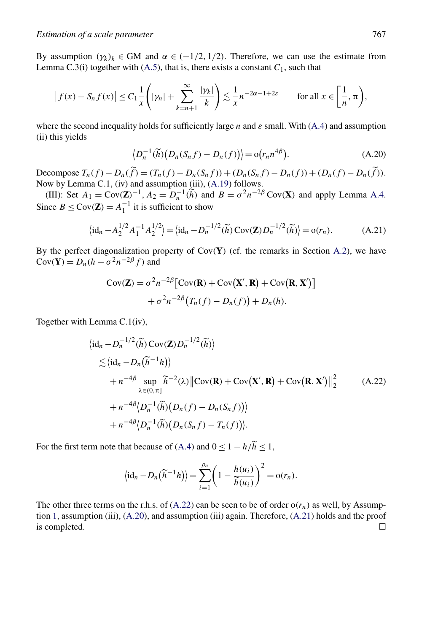By assumption  $(\gamma_k)_k \in GM$  and  $\alpha \in (-1/2, 1/2)$ . Therefore, we can use the estimate from Lemma C.3(i) together with  $(A.5)$ , that is, there exists a constant  $C_1$ , such that

$$
\left|f(x) - S_n f(x)\right| \le C_1 \frac{1}{x} \left( |\gamma_n| + \sum_{k=n+1}^{\infty} \frac{|\gamma_k|}{k} \right) \lesssim \frac{1}{x} n^{-2\alpha - 1 + 2\varepsilon} \qquad \text{for all } x \in \left[\frac{1}{n}, \pi\right),
$$

where the second inequality holds for sufficiently large *n* and *ε* small. With [\(A.4\)](#page-14-0) and assumption (ii) this yields

$$
\left\langle D_n^{-1}(\widetilde{h})\big(D_n(S_nf) - D_n(f)\big)\right\rangle = o(r_n n^{4\beta}).\tag{A.20}
$$

Decompose  $T_n(f) - D_n(\tilde{f}) = (T_n(f) - D_n(S_nf)) + (D_n(S_nf) - D_n(f)) + (D_n(f) - D_n(\tilde{f})).$ Now by Lemma C.1, (iv) and assumption (iii), [\(A.19\)](#page-19-0) follows.

(III): Set  $A_1 = \text{Cov}(\mathbf{Z})^{-1}$ ,  $A_2 = D_n^{-1}(\tilde{h})$  and  $B = \sigma^2 n^{-2\beta} \text{Cov}(\mathbf{X})$  and apply Lemma [A.4.](#page-15-0) Since  $B \leq \text{Cov}(\mathbf{Z}) = A_1^{-1}$  it is sufficient to show

$$
\langle \mathrm{id}_n - A_2^{1/2} A_1^{-1} A_2^{1/2} \rangle = \langle \mathrm{id}_n - D_n^{-1/2} (\widetilde{h}) \operatorname{Cov}(\mathbf{Z}) D_n^{-1/2} (\widetilde{h}) \rangle = o(r_n). \tag{A.21}
$$

By the perfect diagonalization property of Cov*(***Y***)* (cf. the remarks in Section [A.2\)](#page-13-0), we have  $Cov(\mathbf{Y}) = D_n(h - \sigma^2 n^{-2\beta} f)$  and

$$
Cov(\mathbf{Z}) = \sigma^2 n^{-2\beta} \left[ Cov(\mathbf{R}) + Cov(\mathbf{X}', \mathbf{R}) + Cov(\mathbf{R}, \mathbf{X}') \right]
$$

$$
+ \sigma^2 n^{-2\beta} \left( T_n(f) - D_n(f) \right) + D_n(h).
$$

Together with Lemma C.1(iv),

$$
\langle \mathrm{id}_{n} - D_{n}^{-1/2}(\widetilde{h}) \operatorname{Cov}(\mathbf{Z}) D_{n}^{-1/2}(\widetilde{h}) \rangle
$$
  
\n
$$
\lesssim \langle \mathrm{id}_{n} - D_{n}(\widetilde{h}^{-1}h) \rangle
$$
  
\n
$$
+ n^{-4\beta} \sup_{\lambda \in (0,\pi]} \widetilde{h}^{-2}(\lambda) \| \operatorname{Cov}(\mathbf{R}) + \operatorname{Cov}(\mathbf{X}', \mathbf{R}) + \operatorname{Cov}(\mathbf{R}, \mathbf{X}') \|_{2}^{2}
$$
  
\n
$$
+ n^{-4\beta} \langle D_{n}^{-1}(\widetilde{h})(D_{n}(f) - D_{n}(S_{n}f)) \rangle
$$
  
\n
$$
+ n^{-4\beta} \langle D_{n}^{-1}(\widetilde{h})(D_{n}(S_{n}f) - T_{n}(f)) \rangle.
$$
 (A.22)

For the first term note that because of [\(A.4\)](#page-14-0) and  $0 \le 1 - h/\tilde{h} \le 1$ ,

$$
\langle \mathrm{id}_n - D_n(\widetilde{h}^{-1}h) \rangle = \sum_{i=1}^{\rho_n} \left(1 - \frac{h(u_i)}{\widetilde{h}(u_i)}\right)^2 = o(r_n).
$$

The other three terms on the r.h.s. of  $(A.22)$  can be seen to be of order  $o(r_n)$  as well, by Assumption [1,](#page-5-0) assumption (iii), (A.20), and assumption (iii) again. Therefore, (A.21) holds and the proof is completed.  $\Box$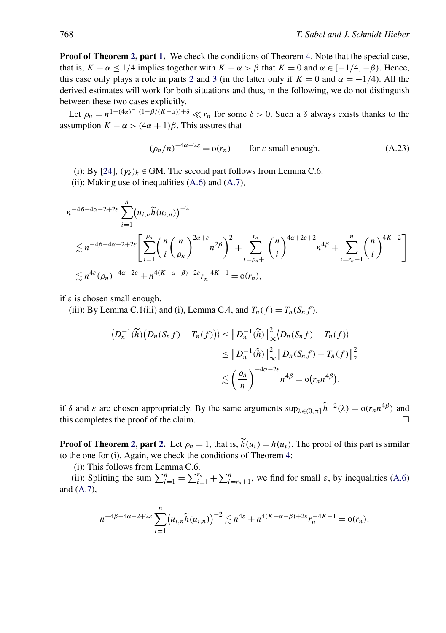**Proof of Theorem [2,](#page-6-0) part [1.](#page-6-0)** We check the conditions of Theorem [4.](#page-16-0) Note that the special case, that is,  $K - \alpha \le 1/4$  implies together with  $K - \alpha > \beta$  that  $K = 0$  and  $\alpha \in [-1/4, -\beta)$ . Hence, this case only plays a role in parts [2](#page-7-0) and [3](#page-7-0) (in the latter only if  $K = 0$  and  $\alpha = -1/4$ ). All the derived estimates will work for both situations and thus, in the following, we do not distinguish between these two cases explicitly.

Let  $\rho_n = n^{1-(4\alpha)^{-1}(1-\beta/(K-\alpha))+\delta} \ll r_n$  for some  $\delta > 0$ . Such a  $\delta$  always exists thanks to the assumption  $K - \alpha > (4\alpha + 1)\beta$ . This assures that

$$
(\rho_n/n)^{-4\alpha - 2\varepsilon} = o(r_n) \qquad \text{for } \varepsilon \text{ small enough.} \tag{A.23}
$$

- (i): By [\[24\]](#page-27-0),  $(\gamma_k)_k \in GM$ . The second part follows from Lemma C.6.
- (ii): Making use of inequalities  $(A.6)$  and  $(A.7)$ ,

$$
n^{-4\beta-4\alpha-2+2\varepsilon} \sum_{i=1}^{n} (u_{i,n} \widetilde{h}(u_{i,n}))^{-2}
$$
  

$$
\lesssim n^{-4\beta-4\alpha-2+2\varepsilon} \left[ \sum_{i=1}^{\rho_n} \left( \frac{n}{i} \left( \frac{n}{\rho_n} \right)^{2\alpha+\varepsilon} n^{2\beta} \right)^2 + \sum_{i=\rho_n+1}^{r_n} \left( \frac{n}{i} \right)^{4\alpha+2\varepsilon+2} n^{4\beta} + \sum_{i=r_n+1}^{n} \left( \frac{n}{i} \right)^{4K+2} \right]
$$
  

$$
\lesssim n^{4\varepsilon} (\rho_n)^{-4\alpha-2\varepsilon} + n^{4(K-\alpha-\beta)+2\varepsilon} r_n^{-4K-1} = o(r_n),
$$

if *ε* is chosen small enough.

(iii): By Lemma C.1(iii) and (i), Lemma C.4, and  $T_n(f) = T_n(S_n f)$ ,

$$
\langle D_n^{-1}(\widetilde{h})\big(D_n(S_nf) - T_n(f)\big)\rangle \leq \|D_n^{-1}(\widetilde{h})\|_{\infty}^2\langle D_n(S_nf) - T_n(f)\rangle
$$
  

$$
\leq \|D_n^{-1}(\widetilde{h})\|_{\infty}^2 \|D_n(S_nf) - T_n(f)\|_2^2
$$
  

$$
\lesssim \left(\frac{\rho_n}{n}\right)^{-4\alpha - 2\varepsilon} n^{4\beta} = o(r_n n^{4\beta}),
$$

if  $\delta$  and  $\varepsilon$  are chosen appropriately. By the same arguments  $\sup_{\lambda \in (0,\pi]} \widetilde{h}^{-2}(\lambda) = o(r_n n^{4\beta})$  and this completes the proof of the claim.

**Proof of Theorem [2,](#page-6-0) part [2.](#page-7-0)** Let  $\rho_n = 1$ , that is,  $\tilde{h}(u_i) = h(u_i)$ . The proof of this part is similar to the one for (i). Again, we check the conditions of Theorem [4:](#page-16-0)

(i): This follows from Lemma C.6.

(ii): Splitting the sum  $\sum_{i=1}^{n} = \sum_{i=1}^{r_n} + \sum_{i=r_n+1}^{n}$ , we find for small  $\varepsilon$ , by inequalities [\(A.6\)](#page-14-0) and [\(A.7\)](#page-14-0),

$$
n^{-4\beta-4\alpha-2+2\varepsilon}\sum_{i=1}^n (u_{i,n}\widetilde{h}(u_{i,n}))^{-2} \lesssim n^{4\varepsilon}+n^{4(K-\alpha-\beta)+2\varepsilon}r_n^{-4K-1}=\mathfrak{o}(r_n).
$$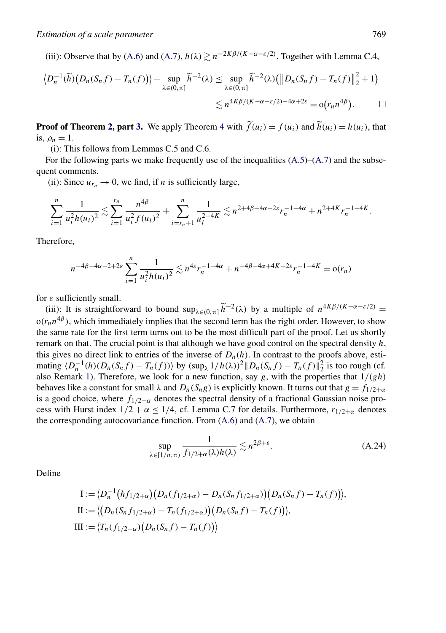<span id="page-22-0"></span>(iii): Observe that by [\(A.6\)](#page-14-0) and [\(A.7\)](#page-14-0),  $h(\lambda) \gtrsim n^{-2K\beta/(K-\alpha-\epsilon/2)}$ . Together with Lemma C.4,

$$
\langle D_n^{-1}(\widetilde{h})\big(D_n(S_nf) - T_n(f)\big) \rangle + \sup_{\lambda \in (0,\pi]} \widetilde{h}^{-2}(\lambda) \leq \sup_{\lambda \in (0,\pi]} \widetilde{h}^{-2}(\lambda) \big( \big\| D_n(S_nf) - T_n(f) \big\|_2^2 + 1 \big) \n\lesssim n^{4K\beta/(K-\alpha-\varepsilon/2)-4\alpha+2\varepsilon} = o(r_n n^{4\beta}). \qquad \Box
$$

**Proof of Theorem [2,](#page-6-0) part [3.](#page-7-0)** We apply Theorem [4](#page-16-0) with  $\tilde{f}(u_i) = f(u_i)$  and  $\tilde{h}(u_i) = h(u_i)$ , that is,  $\rho_n = 1$ .

(i): This follows from Lemmas C.5 and C.6.

For the following parts we make frequently use of the inequalities  $(A.5)$ – $(A.7)$  and the subsequent comments.

(ii): Since  $u_{r_n} \to 0$ , we find, if *n* is sufficiently large,

$$
\sum_{i=1}^n \frac{1}{u_i^2 h(u_i)^2} \lesssim \sum_{i=1}^{r_n} \frac{n^{4\beta}}{u_i^2 f(u_i)^2} + \sum_{i=r_n+1}^n \frac{1}{u_i^{2+4K}} \lesssim n^{2+4\beta+4\alpha+2\epsilon} r_n^{-1-4\alpha} + n^{2+4K} r_n^{-1-4K}.
$$

Therefore,

$$
n^{-4\beta-4\alpha-2+2\varepsilon} \sum_{i=1}^n \frac{1}{u_i^2 h(u_i)^2} \lesssim n^{4\varepsilon} r_n^{-1-4\alpha} + n^{-4\beta-4\alpha+4K+2\varepsilon} r_n^{-1-4K} = o(r_n)
$$

for *ε* sufficiently small.

(iii): It is straightforward to bound  $\sup_{\lambda \in (0,\pi]} \tilde{h}^{-2}(\lambda)$  by a multiple of  $n^{4K\beta/(K-\alpha-\epsilon/2)}$  =  $o(r_n n^{4\beta})$ , which immediately implies that the second term has the right order. However, to show the same rate for the first term turns out to be the most difficult part of the proof. Let us shortly remark on that. The crucial point is that although we have good control on the spectral density *h*, this gives no direct link to entries of the inverse of  $D_n(h)$ . In contrast to the proofs above, estimating  $\langle D_n^{-1}(h)(D_n(S_nf) - T_n(f)) \rangle$  by  $(\sup_{\lambda} 1/h(\lambda))^2 ||D_n(S_nf) - T_n(f)||_2^2$  is too rough (cf. also Remark [1\)](#page-16-0). Therefore, we look for a new function, say *g*, with the properties that 1*/(gh)* behaves like a constant for small  $\lambda$  and  $D_n(S_n g)$  is explicitly known. It turns out that  $g = f_{1/2+\alpha}$ is a good choice, where  $f_{1/2+\alpha}$  denotes the spectral density of a fractional Gaussian noise process with Hurst index  $1/2 + \alpha \le 1/4$ , cf. Lemma C.7 for details. Furthermore,  $r_{1/2+\alpha}$  denotes the corresponding autocovariance function. From  $(A.6)$  and  $(A.7)$ , we obtain

$$
\sup_{\lambda \in [1/n,\pi)} \frac{1}{f_{1/2+\alpha}(\lambda)h(\lambda)} \lesssim n^{2\beta+\varepsilon}.\tag{A.24}
$$

Define

$$
I := \langle D_n^{-1} (hf_{1/2+\alpha}) (D_n(f_{1/2+\alpha}) - D_n(S_n f_{1/2+\alpha}) (D_n(S_n f) - T_n(f)) \rangle,
$$
  
\n
$$
II := \langle (D_n(S_n f_{1/2+\alpha}) - T_n(f_{1/2+\alpha}) (D_n(S_n f) - T_n(f)) \rangle,
$$
  
\n
$$
III := \langle T_n(f_{1/2+\alpha}) (D_n(S_n f) - T_n(f)) \rangle
$$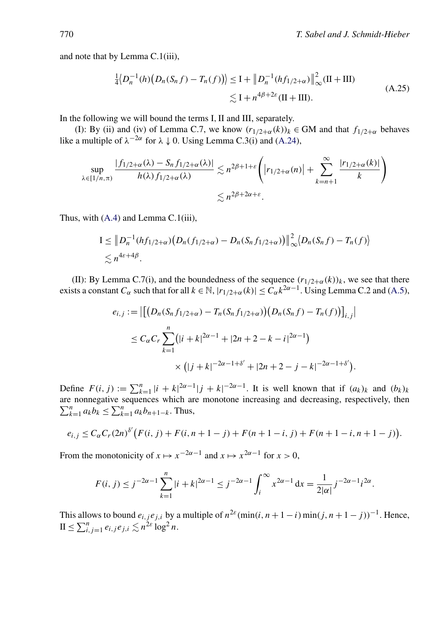<span id="page-23-0"></span>and note that by Lemma C.1(iii),

$$
\frac{1}{4} \langle D_n^{-1}(h) \big( D_n(S_n f) - T_n(f) \big) \rangle \le I + \| D_n^{-1}(h f_{1/2 + \alpha}) \|_{\infty}^2 (II + III)
$$
\n
$$
\lesssim I + n^{4\beta + 2\varepsilon} (II + III). \tag{A.25}
$$

In the following we will bound the terms I*,*II and III, separately.

(I): By (ii) and (iv) of Lemma C.7, we know  $(r_{1/2+\alpha}(k))_k \in GM$  and that  $f_{1/2+\alpha}$  behaves like a multiple of  $\lambda^{-2\alpha}$  for  $\lambda \downarrow 0$ . Using Lemma C.3(i) and [\(A.24\)](#page-22-0),

$$
\sup_{\lambda \in [1/n,\pi)} \frac{|f_{1/2+\alpha}(\lambda) - S_n f_{1/2+\alpha}(\lambda)|}{h(\lambda) f_{1/2+\alpha}(\lambda)} \lesssim n^{2\beta+1+\varepsilon} \left( |r_{1/2+\alpha}(n)| + \sum_{k=n+1}^{\infty} \frac{|r_{1/2+\alpha}(k)|}{k} \right)
$$

$$
\lesssim n^{2\beta+2\alpha+\varepsilon}.
$$

Thus, with [\(A.4\)](#page-14-0) and Lemma C.1(iii),

$$
I \leq \left\| D_n^{-1}(hf_{1/2+\alpha})(D_n(f_{1/2+\alpha}) - D_n(S_nf_{1/2+\alpha})) \right\|_{\infty}^2 \langle D_n(S_nf) - T_n(f) \rangle
$$
  
\$\lesssim n^{4\epsilon+4\beta}\$.

(II): By Lemma C.7(i), and the boundedness of the sequence  $(r_{1/2+\alpha}(k))_k$ , we see that there exists a constant *C<sub>α</sub>* such that for all  $k \in \mathbb{N}$ ,  $|r_{1/2+\alpha}(k)| \leq C_{\alpha}k^{2\alpha-1}$ . Using Lemma C.2 and [\(A.5\)](#page-14-0),

$$
e_{i,j} := \left| \left[ \left( D_n(S_n f_{1/2+\alpha}) - T_n(S_n f_{1/2+\alpha}) \right) \left( D_n(S_n f) - T_n(f) \right) \right]_{i,j} \right|
$$
  
\n
$$
\leq C_{\alpha} C_r \sum_{k=1}^n \left( |i+k|^{2\alpha-1} + |2n+2-k-i|^{2\alpha-1} \right)
$$
  
\n
$$
\times \left( |j+k|^{-2\alpha-1+\delta'} + |2n+2-j-k|^{-2\alpha-1+\delta'} \right).
$$

Define  $F(i, j) := \sum_{k=1}^{n} |i + k|^{2\alpha - 1} |j + k|^{-2\alpha - 1}$ . It is well known that if  $(a_k)_k$  and  $(b_k)_k$ are nonnegative sequences which are monotone increasing and decreasing, respectively, then  $\sum_{k=1}^{n} a_k b_k \le \sum_{k=1}^{n} a_k b_{n+1-k}$ . Thus,

$$
e_{i,j} \leq C_{\alpha} C_r (2n)^{\delta'} \big( F(i,j) + F(i, n+1-j) + F(n+1-i, j) + F(n+1-i, n+1-j) \big).
$$

From the monotonicity of  $x \mapsto x^{-2\alpha-1}$  and  $x \mapsto x^{2\alpha-1}$  for  $x > 0$ ,

$$
F(i, j) \le j^{-2\alpha - 1} \sum_{k=1}^{n} |i + k|^{2\alpha - 1} \le j^{-2\alpha - 1} \int_{i}^{\infty} x^{2\alpha - 1} dx = \frac{1}{2|\alpha|} j^{-2\alpha - 1} i^{2\alpha}.
$$

This allows to bound  $e_{i,j}e_{j,i}$  by a multiple of  $n^{2\varepsilon}(\min(i, n+1-i)\min(j, n+1-j))^{-1}$ . Hence,  $II \leq \sum_{i,j=1}^n e_{i,j} e_{j,i} \lesssim n^{2\varepsilon} \log^2 n.$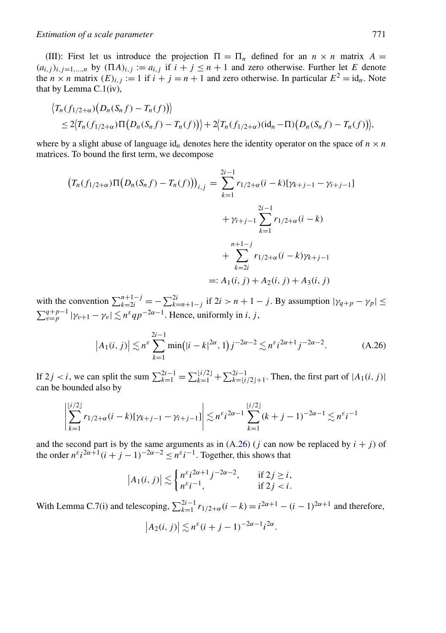(III): First let us introduce the projection  $\Pi = \Pi_n$  defined for an  $n \times n$  matrix  $A =$  $(a_{i,j})_{i,j=1,\dots,n}$  by  $(\Pi A)_{i,j} := a_{i,j}$  if  $i + j \le n + 1$  and zero otherwise. Further let *E* denote the  $n \times n$  matrix  $(E)_{i,j}$  := 1 if  $i + j = n + 1$  and zero otherwise. In particular  $E^2 = id_n$ . Note that by Lemma C.1(iv),

$$
\langle T_n(f_{1/2+\alpha})(D_n(S_nf)-T_n(f))\rangle \leq 2\langle T_n(f_{1/2+\alpha})\Pi(D_n(S_nf)-T_n(f))\rangle+2\langle T_n(f_{1/2+\alpha})(id_n-\Pi)(D_n(S_nf)-T_n(f))\rangle,
$$

where by a slight abuse of language  $id_n$  denotes here the identity operator on the space of  $n \times n$ matrices. To bound the first term, we decompose

$$
(T_n(f_{1/2+\alpha})\Pi(D_n(S_nf) - T_n(f)))_{i,j} = \sum_{k=1}^{2i-1} r_{1/2+\alpha}(i-k)[\gamma_{k+j-1} - \gamma_{i+j-1}]
$$
  
+  $\gamma_{i+j-1} \sum_{k=1}^{2i-1} r_{1/2+\alpha}(i-k)$   
+  $\sum_{k=2i}^{n+1-j} r_{1/2+\alpha}(i-k)\gamma_{k+j-1}$   
=:  $A_1(i, j) + A_2(i, j) + A_3(i, j)$ 

with the convention  $\sum_{k=2i}^{n+1-j} = -\sum_{k=n+1-j}^{2i}$  if  $2i > n+1-j$ . By assumption  $|\gamma_{q+p} - \gamma_p| \leq$  $\sum_{v=p}^{q+p-1} |\gamma_{v+1} - \gamma_v| \lesssim n^{\varepsilon} q p^{-2\alpha-1}$ . Hence, uniformly in *i*, *j*,

$$
\left| A_1(i,j) \right| \lesssim n^{\varepsilon} \sum_{k=1}^{2i-1} \min\bigl( |i-k|^{2\alpha}, 1 \bigr) j^{-2\alpha-2} \lesssim n^{\varepsilon} i^{2\alpha+1} j^{-2\alpha-2}.
$$
 (A.26)

If  $2j < i$ , we can split the sum  $\sum_{k=1}^{2i-1} = \sum_{k=1}^{\lfloor i/2 \rfloor} + \sum_{k=\lfloor i/2 \rfloor+1}^{2i-1}$ . Then, the first part of  $|A_1(i, j)|$ can be bounded also by

$$
\left| \sum_{k=1}^{\lfloor i/2 \rfloor} r_{1/2 + \alpha} (i-k) [\gamma_{k+j-1} - \gamma_{i+j-1}] \right| \lesssim n^{\varepsilon} i^{2\alpha - 1} \sum_{k=1}^{\lfloor i/2 \rfloor} (k+j-1)^{-2\alpha - 1} \lesssim n^{\varepsilon} i^{-1}
$$

and the second part is by the same arguments as in  $(A.26)$  (*j* can now be replaced by  $i + j$ ) of the order  $n^{\varepsilon}i^{2\alpha+1}(i+j-1)^{-2\alpha-2} \leq n^{\varepsilon}i^{-1}$ . Together, this shows that

$$
|A_1(i,j)| \lesssim \begin{cases} n^{\varepsilon} i^{2\alpha+1} j^{-2\alpha-2}, & \text{if } 2j \ge i, \\ n^{\varepsilon} i^{-1}, & \text{if } 2j < i. \end{cases}
$$

With Lemma C.7(i) and telescoping,  $\sum_{k=1}^{2i-1} r_{1/2+\alpha}(i-k) = i^{2\alpha+1} - (i-1)^{2\alpha+1}$  and therefore,

$$
\left|A_2(i,j)\right| \lesssim n^{\varepsilon}(i+j-1)^{-2\alpha-1}i^{2\alpha}.
$$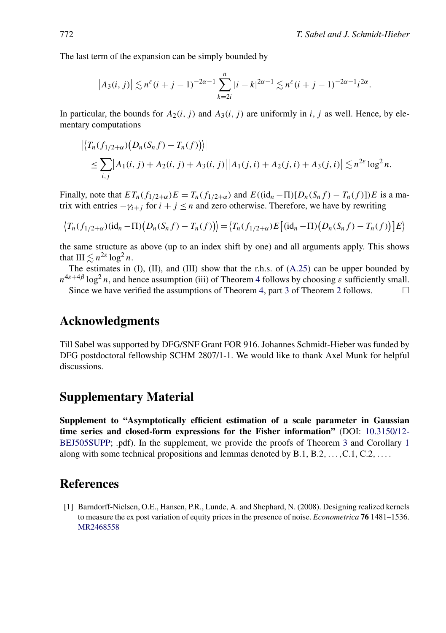<span id="page-25-0"></span>The last term of the expansion can be simply bounded by

$$
\left|A_3(i,j)\right| \lesssim n^{\varepsilon}(i+j-1)^{-2\alpha-1} \sum_{k=2i}^n |i-k|^{2\alpha-1} \lesssim n^{\varepsilon}(i+j-1)^{-2\alpha-1} i^{2\alpha}.
$$

In particular, the bounds for  $A_2(i, j)$  and  $A_3(i, j)$  are uniformly in *i*, *j* as well. Hence, by elementary computations

$$
\left| \left\langle T_n(f_{1/2+\alpha})(D_n(S_nf) - T_n(f)) \right\rangle \right|
$$
  
\n
$$
\leq \sum_{i,j} \left| A_1(i,j) + A_2(i,j) + A_3(i,j) \right| \left| A_1(j,i) + A_2(j,i) + A_3(j,i) \right| \lesssim n^{2\varepsilon} \log^2 n.
$$

Finally, note that  $ET_n(f_{1/2+\alpha})E = T_n(f_{1/2+\alpha})$  and  $E((id_n-\Pi)[D_n(S_nf)-T_n(f)])E$  is a matrix with entries  $-\gamma_{i+1}$  for  $i + j \leq n$  and zero otherwise. Therefore, we have by rewriting

$$
\langle T_n(f_{1/2+\alpha})(\mathrm{id}_n - \Pi)(D_n(S_nf) - T_n(f)) \rangle = \langle T_n(f_{1/2+\alpha})E[(\mathrm{id}_n - \Pi)(D_n(S_nf) - T_n(f))]E \rangle
$$

the same structure as above (up to an index shift by one) and all arguments apply. This shows that  $III \lesssim n^{2\varepsilon} \log^2 n$ .

The estimates in  $(I)$ ,  $(II)$ , and  $(III)$  show that the r.h.s. of  $(A.25)$  can be upper bounded by  $n^{4\varepsilon+4\beta}$  $n^{4\varepsilon+4\beta}$  $n^{4\varepsilon+4\beta}$  log<sup>2</sup> *n*, and hence assumption (iii) of Theorem 4 follows by choosing  $\varepsilon$  sufficiently small.

Since we have verified the assumptions of Theorem [4,](#page-16-0) part [3](#page-7-0) of Theorem [2](#page-6-0) follows.  $\Box$ 

## **Acknowledgments**

Till Sabel was supported by DFG/SNF Grant FOR 916. Johannes Schmidt-Hieber was funded by DFG postdoctoral fellowship SCHM 2807/1-1. We would like to thank Axel Munk for helpful discussions.

## **Supplementary Material**

**Supplement to "Asymptotically efficient estimation of a scale parameter in Gaussian time series and closed-form expressions for the Fisher information"** (DOI: [10.3150/12-](http://dx.doi.org/10.3150/12-BEJ505SUPP) [BEJ505SUPP;](http://dx.doi.org/10.3150/12-BEJ505SUPP) .pdf). In the supplement, we provide the proofs of Theorem [3](#page-7-0) and Corollary [1](#page-7-0) along with some technical propositions and lemmas denoted by B.1, B.2*,...,*C.1, C.2*,...* .

# **References**

[1] Barndorff-Nielsen, O.E., Hansen, P.R., Lunde, A. and Shephard, N. (2008). Designing realized kernels to measure the ex post variation of equity prices in the presence of noise. *Econometrica* **76** 1481–1536. [MR2468558](http://www.ams.org/mathscinet-getitem?mr=2468558)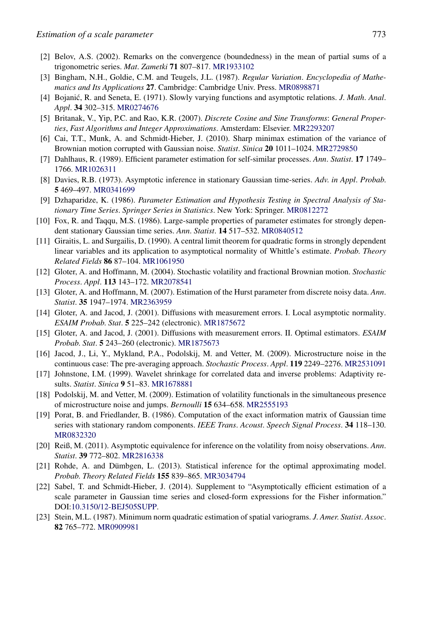- <span id="page-26-0"></span>[2] Belov, A.S. (2002). Remarks on the convergence (boundedness) in the mean of partial sums of a trigonometric series. *Mat*. *Zametki* **71** 807–817. [MR1933102](http://www.ams.org/mathscinet-getitem?mr=1933102)
- [3] Bingham, N.H., Goldie, C.M. and Teugels, J.L. (1987). *Regular Variation*. *Encyclopedia of Mathematics and Its Applications* **27**. Cambridge: Cambridge Univ. Press. [MR0898871](http://www.ams.org/mathscinet-getitem?mr=0898871)
- [4] Bojanić, R. and Seneta, E. (1971). Slowly varying functions and asymptotic relations. *J. Math. Anal. Appl*. **34** 302–315. [MR0274676](http://www.ams.org/mathscinet-getitem?mr=0274676)
- [5] Britanak, V., Yip, P.C. and Rao, K.R. (2007). *Discrete Cosine and Sine Transforms*: *General Properties*, *Fast Algorithms and Integer Approximations*. Amsterdam: Elsevier. [MR2293207](http://www.ams.org/mathscinet-getitem?mr=2293207)
- [6] Cai, T.T., Munk, A. and Schmidt-Hieber, J. (2010). Sharp minimax estimation of the variance of Brownian motion corrupted with Gaussian noise. *Statist*. *Sinica* **20** 1011–1024. [MR2729850](http://www.ams.org/mathscinet-getitem?mr=2729850)
- [7] Dahlhaus, R. (1989). Efficient parameter estimation for self-similar processes. *Ann*. *Statist*. **17** 1749– 1766. [MR1026311](http://www.ams.org/mathscinet-getitem?mr=1026311)
- [8] Davies, R.B. (1973). Asymptotic inference in stationary Gaussian time-series. *Adv*. *in Appl*. *Probab*. **5** 469–497. [MR0341699](http://www.ams.org/mathscinet-getitem?mr=0341699)
- [9] Dzhaparidze, K. (1986). *Parameter Estimation and Hypothesis Testing in Spectral Analysis of Stationary Time Series*. *Springer Series in Statistics*. New York: Springer. [MR0812272](http://www.ams.org/mathscinet-getitem?mr=0812272)
- [10] Fox, R. and Taqqu, M.S. (1986). Large-sample properties of parameter estimates for strongly dependent stationary Gaussian time series. *Ann*. *Statist*. **14** 517–532. [MR0840512](http://www.ams.org/mathscinet-getitem?mr=0840512)
- [11] Giraitis, L. and Surgailis, D. (1990). A central limit theorem for quadratic forms in strongly dependent linear variables and its application to asymptotical normality of Whittle's estimate. *Probab*. *Theory Related Fields* **86** 87–104. [MR1061950](http://www.ams.org/mathscinet-getitem?mr=1061950)
- [12] Gloter, A. and Hoffmann, M. (2004). Stochastic volatility and fractional Brownian motion. *Stochastic Process*. *Appl*. **113** 143–172. [MR2078541](http://www.ams.org/mathscinet-getitem?mr=2078541)
- [13] Gloter, A. and Hoffmann, M. (2007). Estimation of the Hurst parameter from discrete noisy data. *Ann*. *Statist*. **35** 1947–1974. [MR2363959](http://www.ams.org/mathscinet-getitem?mr=2363959)
- [14] Gloter, A. and Jacod, J. (2001). Diffusions with measurement errors. I. Local asymptotic normality. *ESAIM Probab*. *Stat*. **5** 225–242 (electronic). [MR1875672](http://www.ams.org/mathscinet-getitem?mr=1875672)
- [15] Gloter, A. and Jacod, J. (2001). Diffusions with measurement errors. II. Optimal estimators. *ESAIM Probab*. *Stat*. **5** 243–260 (electronic). [MR1875673](http://www.ams.org/mathscinet-getitem?mr=1875673)
- [16] Jacod, J., Li, Y., Mykland, P.A., Podolskij, M. and Vetter, M. (2009). Microstructure noise in the continuous case: The pre-averaging approach. *Stochastic Process*. *Appl*. **119** 2249–2276. [MR2531091](http://www.ams.org/mathscinet-getitem?mr=2531091)
- [17] Johnstone, I.M. (1999). Wavelet shrinkage for correlated data and inverse problems: Adaptivity results. *Statist*. *Sinica* **9** 51–83. [MR1678881](http://www.ams.org/mathscinet-getitem?mr=1678881)
- [18] Podolskij, M. and Vetter, M. (2009). Estimation of volatility functionals in the simultaneous presence of microstructure noise and jumps. *Bernoulli* **15** 634–658. [MR2555193](http://www.ams.org/mathscinet-getitem?mr=2555193)
- [19] Porat, B. and Friedlander, B. (1986). Computation of the exact information matrix of Gaussian time series with stationary random components. *IEEE Trans*. *Acoust*. *Speech Signal Process*. **34** 118–130. [MR0832320](http://www.ams.org/mathscinet-getitem?mr=0832320)
- [20] Reiß, M. (2011). Asymptotic equivalence for inference on the volatility from noisy observations. *Ann*. *Statist*. **39** 772–802. [MR2816338](http://www.ams.org/mathscinet-getitem?mr=2816338)
- [21] Rohde, A. and Dümbgen, L. (2013). Statistical inference for the optimal approximating model. *Probab*. *Theory Related Fields* **155** 839–865. [MR3034794](http://www.ams.org/mathscinet-getitem?mr=3034794)
- [22] Sabel, T. and Schmidt-Hieber, J. (2014). Supplement to "Asymptotically efficient estimation of a scale parameter in Gaussian time series and closed-form expressions for the Fisher information." DOI[:10.3150/12-BEJ505SUPP](http://dx.doi.org/10.3150/12-BEJ505SUPP).
- [23] Stein, M.L. (1987). Minimum norm quadratic estimation of spatial variograms. *J*. *Amer*. *Statist*. *Assoc*. **82** 765–772. [MR0909981](http://www.ams.org/mathscinet-getitem?mr=0909981)